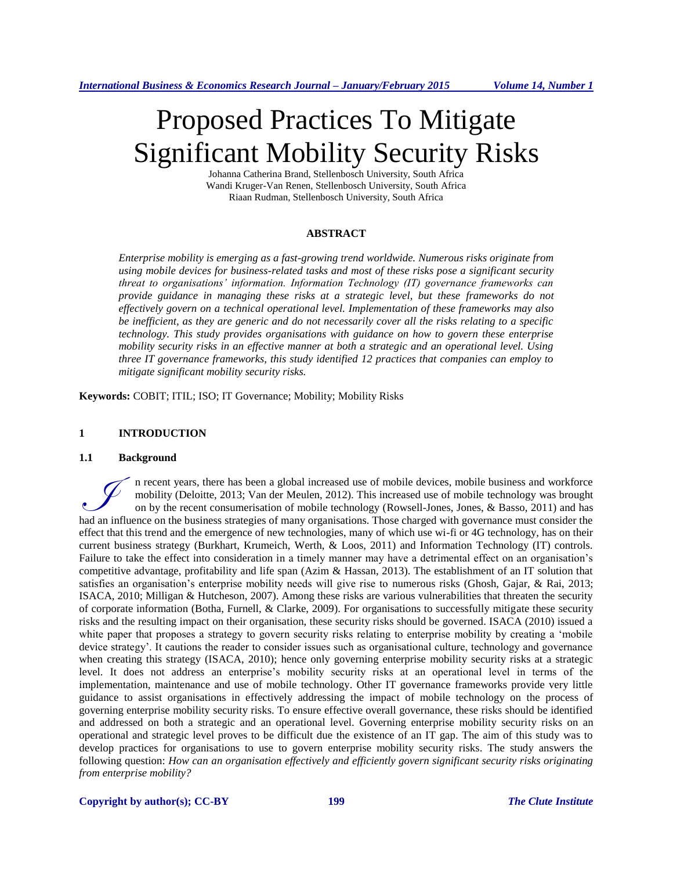# Proposed Practices To Mitigate Significant Mobility Security Risks

Johanna Catherina Brand, Stellenbosch University, South Africa Wandi Kruger-Van Renen, Stellenbosch University, South Africa Riaan Rudman, Stellenbosch University, South Africa

#### **ABSTRACT**

*Enterprise mobility is emerging as a fast-growing trend worldwide. Numerous risks originate from using mobile devices for business-related tasks and most of these risks pose a significant security threat to organisations' information. Information Technology (IT) governance frameworks can provide guidance in managing these risks at a strategic level, but these frameworks do not effectively govern on a technical operational level. Implementation of these frameworks may also be inefficient, as they are generic and do not necessarily cover all the risks relating to a specific technology. This study provides organisations with guidance on how to govern these enterprise mobility security risks in an effective manner at both a strategic and an operational level. Using three IT governance frameworks, this study identified 12 practices that companies can employ to mitigate significant mobility security risks.*

**Keywords:** COBIT; ITIL; ISO; IT Governance; Mobility; Mobility Risks

#### **1 INTRODUCTION**

#### **1.1 Background**

n recent years, there has been a global increased use of mobile devices, mobile business and workforce mobility (Deloitte, 2013; Van der Meulen, 2012). This increased use of mobile technology was brought on by the recent consumerisation of mobile technology (Rowsell-Jones, Jones, & Basso, 2011) and has In recent years, there has been a global increased use of mobile devices, mobile business and workforce mobility (Deloitte, 2013; Van der Meulen, 2012). This increased use of mobile technology was brought on by the recent effect that this trend and the emergence of new technologies, many of which use wi-fi or 4G technology, has on their current business strategy (Burkhart, Krumeich, Werth, & Loos, 2011) and Information Technology (IT) controls. Failure to take the effect into consideration in a timely manner may have a detrimental effect on an organisation's competitive advantage, profitability and life span (Azim & Hassan, 2013). The establishment of an IT solution that satisfies an organisation's enterprise mobility needs will give rise to numerous risks (Ghosh, Gajar, & Rai, 2013; ISACA, 2010; Milligan & Hutcheson, 2007). Among these risks are various vulnerabilities that threaten the security of corporate information (Botha, Furnell, & Clarke, 2009). For organisations to successfully mitigate these security risks and the resulting impact on their organisation, these security risks should be governed. ISACA (2010) issued a white paper that proposes a strategy to govern security risks relating to enterprise mobility by creating a 'mobile device strategy'. It cautions the reader to consider issues such as organisational culture, technology and governance when creating this strategy (ISACA, 2010); hence only governing enterprise mobility security risks at a strategic level. It does not address an enterprise's mobility security risks at an operational level in terms of the implementation, maintenance and use of mobile technology. Other IT governance frameworks provide very little guidance to assist organisations in effectively addressing the impact of mobile technology on the process of governing enterprise mobility security risks. To ensure effective overall governance, these risks should be identified and addressed on both a strategic and an operational level. Governing enterprise mobility security risks on an operational and strategic level proves to be difficult due the existence of an IT gap. The aim of this study was to develop practices for organisations to use to govern enterprise mobility security risks. The study answers the following question: *How can an organisation effectively and efficiently govern significant security risks originating from enterprise mobility?*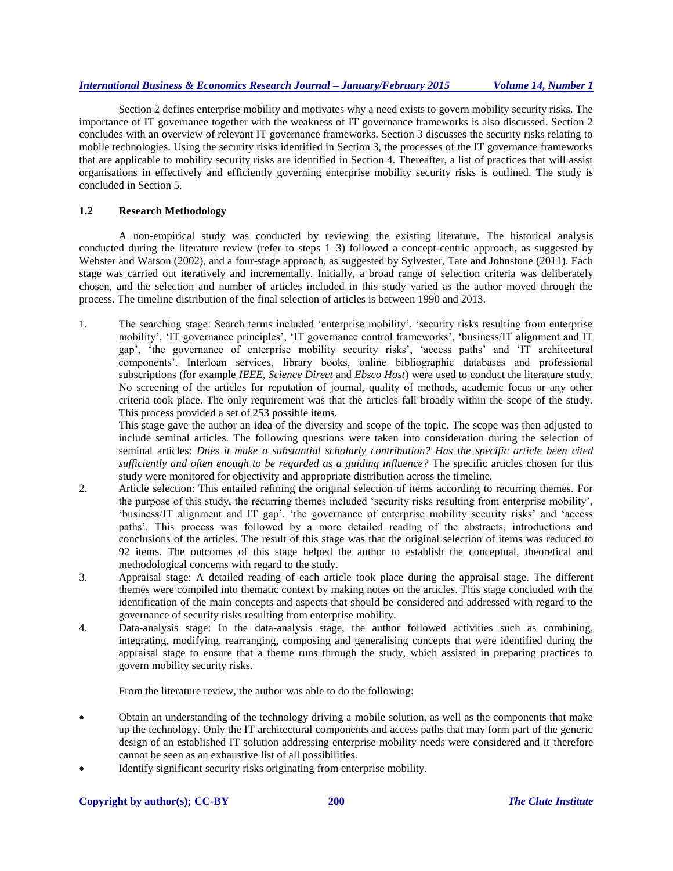Section 2 defines enterprise mobility and motivates why a need exists to govern mobility security risks. The importance of IT governance together with the weakness of IT governance frameworks is also discussed. Section 2 concludes with an overview of relevant IT governance frameworks. Section 3 discusses the security risks relating to mobile technologies. Using the security risks identified in Section 3, the processes of the IT governance frameworks that are applicable to mobility security risks are identified in Section 4. Thereafter, a list of practices that will assist organisations in effectively and efficiently governing enterprise mobility security risks is outlined. The study is concluded in Section 5.

## **1.2 Research Methodology**

A non-empirical study was conducted by reviewing the existing literature. The historical analysis conducted during the literature review (refer to steps 1–3) followed a concept-centric approach, as suggested by Webster and Watson (2002), and a four-stage approach, as suggested by Sylvester, Tate and Johnstone (2011). Each stage was carried out iteratively and incrementally. Initially, a broad range of selection criteria was deliberately chosen, and the selection and number of articles included in this study varied as the author moved through the process. The timeline distribution of the final selection of articles is between 1990 and 2013.

1. The searching stage: Search terms included 'enterprise mobility', 'security risks resulting from enterprise mobility', 'IT governance principles', 'IT governance control frameworks', 'business/IT alignment and IT gap', 'the governance of enterprise mobility security risks', 'access paths' and 'IT architectural components'. Interloan services, library books, online bibliographic databases and professional subscriptions (for example *IEEE*, *Science Direct* and *Ebsco Host*) were used to conduct the literature study. No screening of the articles for reputation of journal, quality of methods, academic focus or any other criteria took place. The only requirement was that the articles fall broadly within the scope of the study. This process provided a set of 253 possible items.

This stage gave the author an idea of the diversity and scope of the topic. The scope was then adjusted to include seminal articles. The following questions were taken into consideration during the selection of seminal articles: *Does it make a substantial scholarly contribution? Has the specific article been cited sufficiently and often enough to be regarded as a guiding influence?* The specific articles chosen for this study were monitored for objectivity and appropriate distribution across the timeline.

- 2. Article selection: This entailed refining the original selection of items according to recurring themes. For the purpose of this study, the recurring themes included 'security risks resulting from enterprise mobility', 'business/IT alignment and IT gap', 'the governance of enterprise mobility security risks' and 'access paths'. This process was followed by a more detailed reading of the abstracts, introductions and conclusions of the articles. The result of this stage was that the original selection of items was reduced to 92 items. The outcomes of this stage helped the author to establish the conceptual, theoretical and methodological concerns with regard to the study.
- 3. Appraisal stage: A detailed reading of each article took place during the appraisal stage. The different themes were compiled into thematic context by making notes on the articles. This stage concluded with the identification of the main concepts and aspects that should be considered and addressed with regard to the governance of security risks resulting from enterprise mobility.
- 4. Data-analysis stage: In the data-analysis stage, the author followed activities such as combining, integrating, modifying, rearranging, composing and generalising concepts that were identified during the appraisal stage to ensure that a theme runs through the study, which assisted in preparing practices to govern mobility security risks.

From the literature review, the author was able to do the following:

- Obtain an understanding of the technology driving a mobile solution, as well as the components that make up the technology. Only the IT architectural components and access paths that may form part of the generic design of an established IT solution addressing enterprise mobility needs were considered and it therefore cannot be seen as an exhaustive list of all possibilities.
- Identify significant security risks originating from enterprise mobility.

#### **Copyright by author(s); CC-BY 200** *The Clute Institute*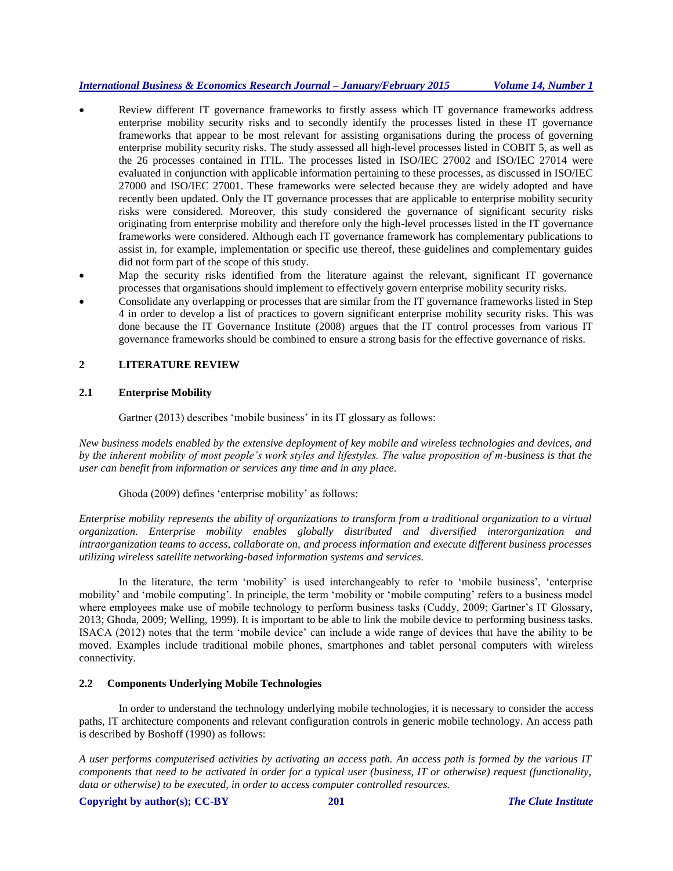- Review different IT governance frameworks to firstly assess which IT governance frameworks address enterprise mobility security risks and to secondly identify the processes listed in these IT governance frameworks that appear to be most relevant for assisting organisations during the process of governing enterprise mobility security risks. The study assessed all high-level processes listed in COBIT 5, as well as the 26 processes contained in ITIL. The processes listed in ISO/IEC 27002 and ISO/IEC 27014 were evaluated in conjunction with applicable information pertaining to these processes, as discussed in ISO/IEC 27000 and ISO/IEC 27001. These frameworks were selected because they are widely adopted and have recently been updated. Only the IT governance processes that are applicable to enterprise mobility security risks were considered. Moreover, this study considered the governance of significant security risks originating from enterprise mobility and therefore only the high-level processes listed in the IT governance frameworks were considered. Although each IT governance framework has complementary publications to assist in, for example, implementation or specific use thereof, these guidelines and complementary guides did not form part of the scope of this study.
- Map the security risks identified from the literature against the relevant, significant IT governance processes that organisations should implement to effectively govern enterprise mobility security risks.
- Consolidate any overlapping or processes that are similar from the IT governance frameworks listed in Step 4 in order to develop a list of practices to govern significant enterprise mobility security risks. This was done because the IT Governance Institute (2008) argues that the IT control processes from various IT governance frameworks should be combined to ensure a strong basis for the effective governance of risks.

## **2 LITERATURE REVIEW**

## **2.1 Enterprise Mobility**

Gartner (2013) describes 'mobile business' in its IT glossary as follows:

*New business models enabled by the extensive deployment of key mobile and wireless technologies and devices, and by the inherent mobility of most people's work styles and lifestyles. The value proposition of m-business is that the user can benefit from information or services any time and in any place.*

Ghoda (2009) defines 'enterprise mobility' as follows:

*Enterprise mobility represents the ability of organizations to transform from a traditional organization to a virtual organization. Enterprise mobility enables globally distributed and diversified interorganization and intraorganization teams to access, collaborate on, and process information and execute different business processes utilizing wireless satellite networking-based information systems and services.* 

In the literature, the term 'mobility' is used interchangeably to refer to 'mobile business', 'enterprise mobility' and 'mobile computing'. In principle, the term 'mobility or 'mobile computing' refers to a business model where employees make use of mobile technology to perform business tasks (Cuddy, 2009; Gartner's IT Glossary, 2013; Ghoda, 2009; Welling, 1999). It is important to be able to link the mobile device to performing business tasks. ISACA (2012) notes that the term 'mobile device' can include a wide range of devices that have the ability to be moved. Examples include traditional mobile phones, smartphones and tablet personal computers with wireless connectivity.

## **2.2 Components Underlying Mobile Technologies**

In order to understand the technology underlying mobile technologies, it is necessary to consider the access paths, IT architecture components and relevant configuration controls in generic mobile technology. An access path is described by Boshoff (1990) as follows:

*A user performs computerised activities by activating an access path. An access path is formed by the various IT components that need to be activated in order for a typical user (business, IT or otherwise) request (functionality, data or otherwise) to be executed, in order to access computer controlled resources.*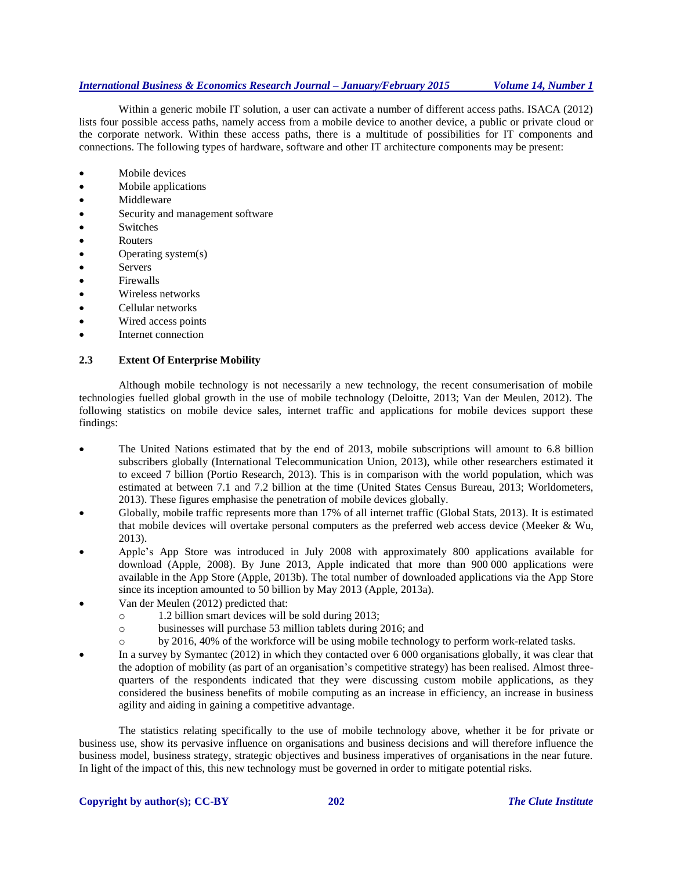Within a generic mobile IT solution, a user can activate a number of different access paths. ISACA (2012) lists four possible access paths, namely access from a mobile device to another device, a public or private cloud or the corporate network. Within these access paths, there is a multitude of possibilities for IT components and connections. The following types of hardware, software and other IT architecture components may be present:

- Mobile devices
- Mobile applications
- Middleware
- Security and management software
- Switches
- Routers
- Operating system(s)
- Servers
- Firewalls
- Wireless networks
- Cellular networks
- Wired access points
- Internet connection

#### **2.3 Extent Of Enterprise Mobility**

Although mobile technology is not necessarily a new technology, the recent consumerisation of mobile technologies fuelled global growth in the use of mobile technology (Deloitte, 2013; Van der Meulen, 2012). The following statistics on mobile device sales, internet traffic and applications for mobile devices support these findings:

- The United Nations estimated that by the end of 2013, mobile subscriptions will amount to 6.8 billion subscribers globally (International Telecommunication Union, 2013), while other researchers estimated it to exceed 7 billion (Portio Research, 2013). This is in comparison with the world population, which was estimated at between 7.1 and 7.2 billion at the time (United States Census Bureau, 2013; Worldometers, 2013). These figures emphasise the penetration of mobile devices globally.
- Globally, mobile traffic represents more than 17% of all internet traffic (Global Stats, 2013). It is estimated that mobile devices will overtake personal computers as the preferred web access device (Meeker & Wu, 2013).
- Apple's App Store was introduced in July 2008 with approximately 800 applications available for download (Apple, 2008). By June 2013, Apple indicated that more than 900 000 applications were available in the App Store (Apple, 2013b). The total number of downloaded applications via the App Store since its inception amounted to 50 billion by May 2013 (Apple, 2013a).
- Van der Meulen (2012) predicted that:
	- o 1.2 billion smart devices will be sold during 2013;
	- o businesses will purchase 53 million tablets during 2016; and
	- o by 2016, 40% of the workforce will be using mobile technology to perform work-related tasks.
- In a survey by Symantec (2012) in which they contacted over 6 000 organisations globally, it was clear that the adoption of mobility (as part of an organisation's competitive strategy) has been realised. Almost threequarters of the respondents indicated that they were discussing custom mobile applications, as they considered the business benefits of mobile computing as an increase in efficiency, an increase in business agility and aiding in gaining a competitive advantage.

The statistics relating specifically to the use of mobile technology above, whether it be for private or business use, show its pervasive influence on organisations and business decisions and will therefore influence the business model, business strategy, strategic objectives and business imperatives of organisations in the near future. In light of the impact of this, this new technology must be governed in order to mitigate potential risks.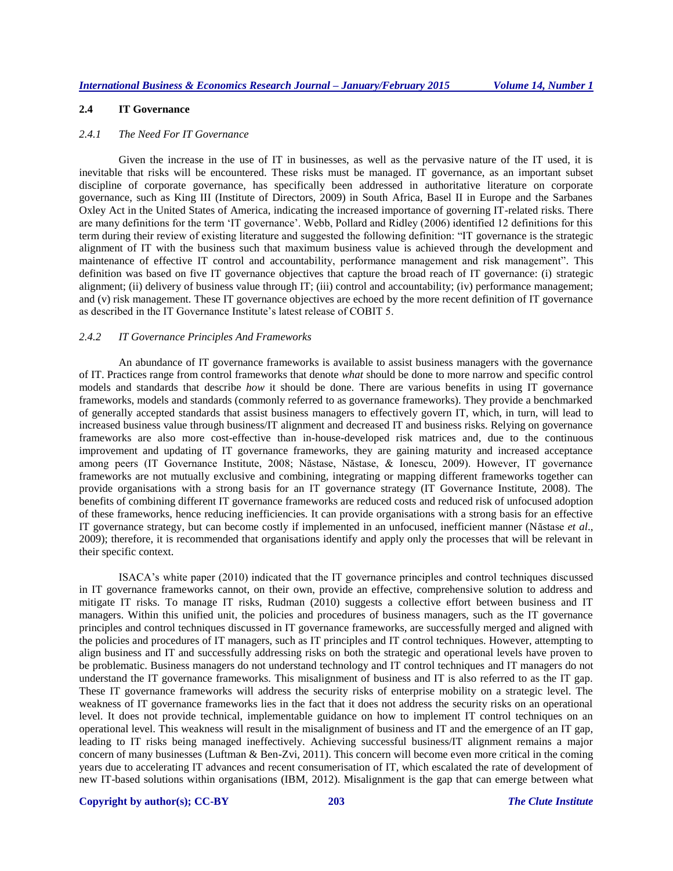## **2.4 IT Governance**

#### *2.4.1 The Need For IT Governance*

Given the increase in the use of IT in businesses, as well as the pervasive nature of the IT used, it is inevitable that risks will be encountered. These risks must be managed. IT governance, as an important subset discipline of corporate governance, has specifically been addressed in authoritative literature on corporate governance, such as King III (Institute of Directors, 2009) in South Africa, Basel II in Europe and the Sarbanes Oxley Act in the United States of America, indicating the increased importance of governing IT-related risks. There are many definitions for the term 'IT governance'. Webb, Pollard and Ridley (2006) identified 12 definitions for this term during their review of existing literature and suggested the following definition: "IT governance is the strategic alignment of IT with the business such that maximum business value is achieved through the development and maintenance of effective IT control and accountability, performance management and risk management". This definition was based on five IT governance objectives that capture the broad reach of IT governance: (i) strategic alignment; (ii) delivery of business value through IT; (iii) control and accountability; (iv) performance management; and (v) risk management. These IT governance objectives are echoed by the more recent definition of IT governance as described in the IT Governance Institute's latest release of COBIT 5.

#### *2.4.2 IT Governance Principles And Frameworks*

An abundance of IT governance frameworks is available to assist business managers with the governance of IT. Practices range from control frameworks that denote *what* should be done to more narrow and specific control models and standards that describe *how* it should be done. There are various benefits in using IT governance frameworks, models and standards (commonly referred to as governance frameworks). They provide a benchmarked of generally accepted standards that assist business managers to effectively govern IT, which, in turn, will lead to increased business value through business/IT alignment and decreased IT and business risks. Relying on governance frameworks are also more cost-effective than in-house-developed risk matrices and, due to the continuous improvement and updating of IT governance frameworks, they are gaining maturity and increased acceptance among peers (IT Governance Institute, 2008; Năstase, Năstase, & Ionescu, 2009). However, IT governance frameworks are not mutually exclusive and combining, integrating or mapping different frameworks together can provide organisations with a strong basis for an IT governance strategy (IT Governance Institute, 2008). The benefits of combining different IT governance frameworks are reduced costs and reduced risk of unfocused adoption of these frameworks, hence reducing inefficiencies. It can provide organisations with a strong basis for an effective IT governance strategy, but can become costly if implemented in an unfocused, inefficient manner (Năstase *et al*., 2009); therefore, it is recommended that organisations identify and apply only the processes that will be relevant in their specific context.

ISACA's white paper (2010) indicated that the IT governance principles and control techniques discussed in IT governance frameworks cannot, on their own, provide an effective, comprehensive solution to address and mitigate IT risks. To manage IT risks, Rudman (2010) suggests a collective effort between business and IT managers. Within this unified unit, the policies and procedures of business managers, such as the IT governance principles and control techniques discussed in IT governance frameworks, are successfully merged and aligned with the policies and procedures of IT managers, such as IT principles and IT control techniques. However, attempting to align business and IT and successfully addressing risks on both the strategic and operational levels have proven to be problematic. Business managers do not understand technology and IT control techniques and IT managers do not understand the IT governance frameworks. This misalignment of business and IT is also referred to as the IT gap. These IT governance frameworks will address the security risks of enterprise mobility on a strategic level. The weakness of IT governance frameworks lies in the fact that it does not address the security risks on an operational level. It does not provide technical, implementable guidance on how to implement IT control techniques on an operational level. This weakness will result in the misalignment of business and IT and the emergence of an IT gap, leading to IT risks being managed ineffectively. Achieving successful business/IT alignment remains a major concern of many businesses (Luftman & Ben-Zvi, 2011). This concern will become even more critical in the coming years due to accelerating IT advances and recent consumerisation of IT, which escalated the rate of development of new IT-based solutions within organisations (IBM, 2012). Misalignment is the gap that can emerge between what

**Copyright by author(s); CC-BY 203** *The Clute Institute*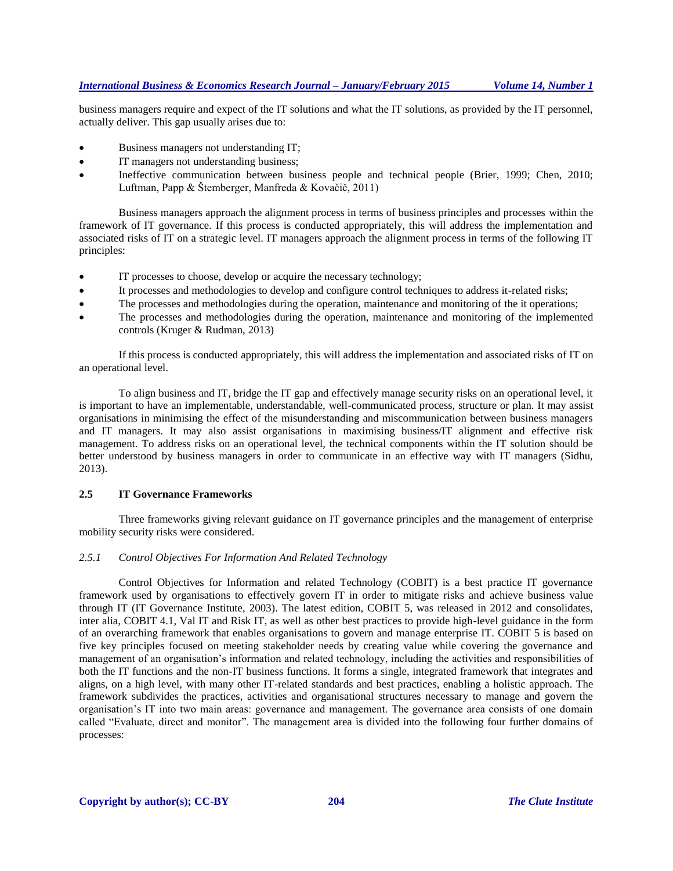business managers require and expect of the IT solutions and what the IT solutions, as provided by the IT personnel, actually deliver. This gap usually arises due to:

- Business managers not understanding IT;
- IT managers not understanding business;
- Ineffective communication between business people and technical people (Brier, 1999; Chen, 2010; Luftman, Papp & Štemberger, Manfreda & Kovačič, 2011)

Business managers approach the alignment process in terms of business principles and processes within the framework of IT governance. If this process is conducted appropriately, this will address the implementation and associated risks of IT on a strategic level. IT managers approach the alignment process in terms of the following IT principles:

- IT processes to choose, develop or acquire the necessary technology;
- It processes and methodologies to develop and configure control techniques to address it-related risks;
- The processes and methodologies during the operation, maintenance and monitoring of the it operations;
- The processes and methodologies during the operation, maintenance and monitoring of the implemented controls (Kruger & Rudman, 2013)

If this process is conducted appropriately, this will address the implementation and associated risks of IT on an operational level.

To align business and IT, bridge the IT gap and effectively manage security risks on an operational level, it is important to have an implementable, understandable, well-communicated process, structure or plan. It may assist organisations in minimising the effect of the misunderstanding and miscommunication between business managers and IT managers. It may also assist organisations in maximising business/IT alignment and effective risk management. To address risks on an operational level, the technical components within the IT solution should be better understood by business managers in order to communicate in an effective way with IT managers (Sidhu, 2013).

#### **2.5 IT Governance Frameworks**

Three frameworks giving relevant guidance on IT governance principles and the management of enterprise mobility security risks were considered.

#### *2.5.1 Control Objectives For Information And Related Technology*

Control Objectives for Information and related Technology (COBIT) is a best practice IT governance framework used by organisations to effectively govern IT in order to mitigate risks and achieve business value through IT (IT Governance Institute, 2003). The latest edition, COBIT 5, was released in 2012 and consolidates, inter alia, COBIT 4.1, Val IT and Risk IT, as well as other best practices to provide high-level guidance in the form of an overarching framework that enables organisations to govern and manage enterprise IT. COBIT 5 is based on five key principles focused on meeting stakeholder needs by creating value while covering the governance and management of an organisation's information and related technology, including the activities and responsibilities of both the IT functions and the non-IT business functions. It forms a single, integrated framework that integrates and aligns, on a high level, with many other IT-related standards and best practices, enabling a holistic approach. The framework subdivides the practices, activities and organisational structures necessary to manage and govern the organisation's IT into two main areas: governance and management. The governance area consists of one domain called "Evaluate, direct and monitor". The management area is divided into the following four further domains of processes: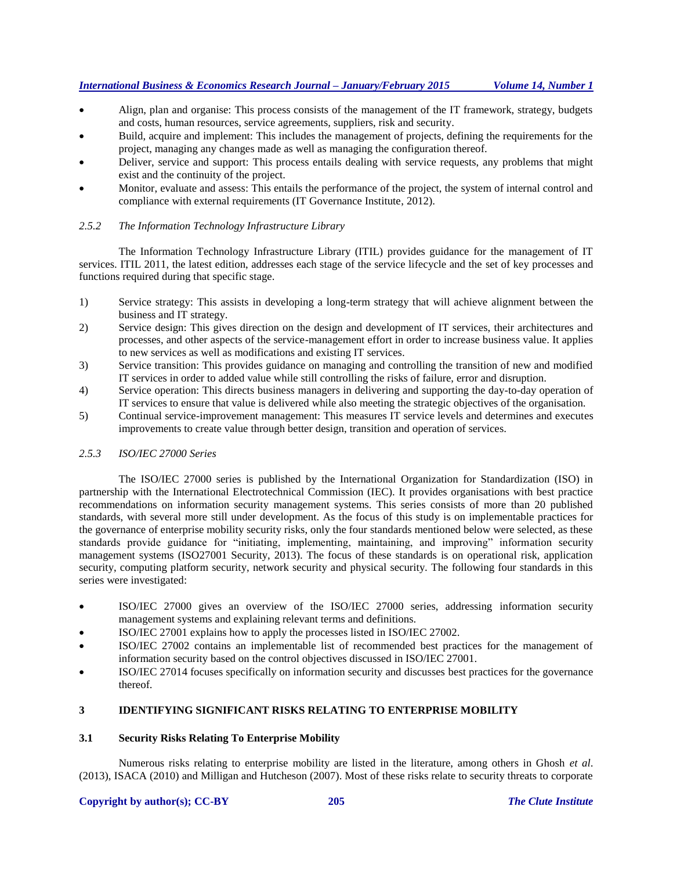- Align, plan and organise: This process consists of the management of the IT framework, strategy, budgets and costs, human resources, service agreements, suppliers, risk and security.
- Build, acquire and implement: This includes the management of projects, defining the requirements for the project, managing any changes made as well as managing the configuration thereof.
- Deliver, service and support: This process entails dealing with service requests, any problems that might exist and the continuity of the project.
- Monitor, evaluate and assess: This entails the performance of the project, the system of internal control and compliance with external requirements (IT Governance Institute, 2012).

## *2.5.2 The Information Technology Infrastructure Library*

The Information Technology Infrastructure Library (ITIL) provides guidance for the management of IT services. ITIL 2011, the latest edition, addresses each stage of the service lifecycle and the set of key processes and functions required during that specific stage.

- 1) Service strategy: This assists in developing a long-term strategy that will achieve alignment between the business and IT strategy.
- 2) Service design: This gives direction on the design and development of IT services, their architectures and processes, and other aspects of the service-management effort in order to increase business value. It applies to new services as well as modifications and existing IT services.
- 3) Service transition: This provides guidance on managing and controlling the transition of new and modified IT services in order to added value while still controlling the risks of failure, error and disruption.
- 4) Service operation: This directs business managers in delivering and supporting the day-to-day operation of IT services to ensure that value is delivered while also meeting the strategic objectives of the organisation.
- 5) Continual service-improvement management: This measures IT service levels and determines and executes improvements to create value through better design, transition and operation of services.

## *2.5.3 ISO/IEC 27000 Series*

The ISO/IEC 27000 series is published by the International Organization for Standardization (ISO) in partnership with the International Electrotechnical Commission (IEC). It provides organisations with best practice recommendations on information security management systems. This series consists of more than 20 published standards, with several more still under development. As the focus of this study is on implementable practices for the governance of enterprise mobility security risks, only the four standards mentioned below were selected, as these standards provide guidance for "initiating, implementing, maintaining, and improving" information security management systems (ISO27001 Security, 2013). The focus of these standards is on operational risk, application security, computing platform security, network security and physical security. The following four standards in this series were investigated:

- ISO/IEC 27000 gives an overview of the ISO/IEC 27000 series, addressing information security management systems and explaining relevant terms and definitions.
- ISO/IEC 27001 explains how to apply the processes listed in ISO/IEC 27002.
- ISO/IEC 27002 contains an implementable list of recommended best practices for the management of information security based on the control objectives discussed in ISO/IEC 27001.
- ISO/IEC 27014 focuses specifically on information security and discusses best practices for the governance thereof.

## **3 IDENTIFYING SIGNIFICANT RISKS RELATING TO ENTERPRISE MOBILITY**

## **3.1 Security Risks Relating To Enterprise Mobility**

Numerous risks relating to enterprise mobility are listed in the literature, among others in Ghosh *et al*. (2013), ISACA (2010) and Milligan and Hutcheson (2007). Most of these risks relate to security threats to corporate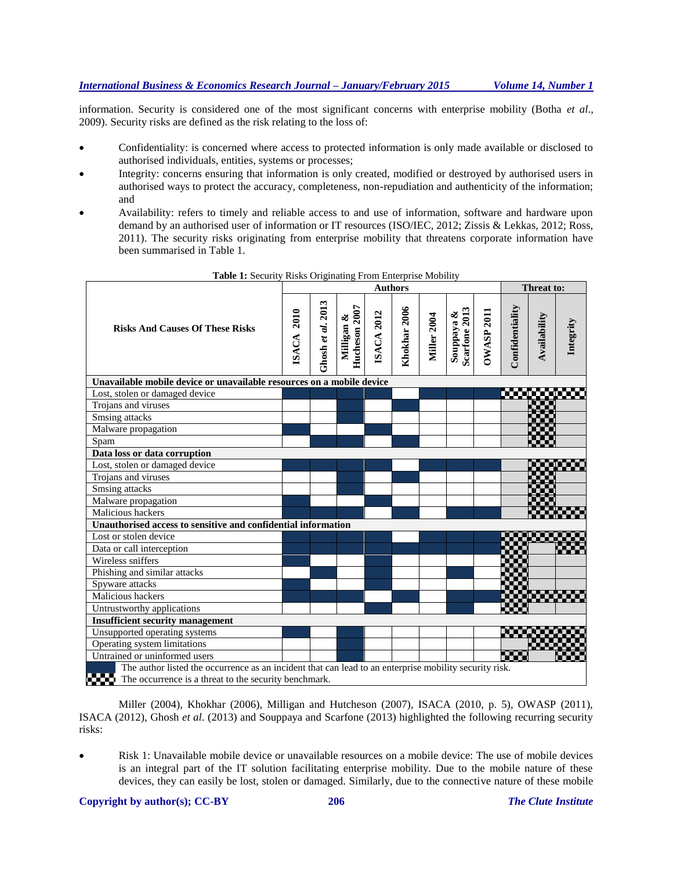information. Security is considered one of the most significant concerns with enterprise mobility (Botha *et al*., 2009). Security risks are defined as the risk relating to the loss of:

- Confidentiality: is concerned where access to protected information is only made available or disclosed to authorised individuals, entities, systems or processes;
- Integrity: concerns ensuring that information is only created, modified or destroyed by authorised users in authorised ways to protect the accuracy, completeness, non-repudiation and authenticity of the information; and
- Availability: refers to timely and reliable access to and use of information, software and hardware upon demand by an authorised user of information or IT resources (ISO/IEC, 2012; Zissis & Lekkas, 2012; Ross, 2011). The security risks originating from enterprise mobility that threatens corporate information have been summarised in Table 1.

|                                                                                                                |                      |                        |                             | Threat to:        |              |                    |                                       |                   |                 |              |           |  |  |  |
|----------------------------------------------------------------------------------------------------------------|----------------------|------------------------|-----------------------------|-------------------|--------------|--------------------|---------------------------------------|-------------------|-----------------|--------------|-----------|--|--|--|
| <b>Risks And Causes Of These Risks</b>                                                                         | 2010<br><b>ISACA</b> | $3$ hosh et al. $2013$ | Hucheson 2007<br>Milligan & | <b>ISACA 2012</b> | Khokhar 2006 | <b>Miller 2004</b> | Scarfone 2013<br>ళ<br><b>Souppaya</b> | <b>DWASP 2011</b> | Confidentiality | Availability | Integrity |  |  |  |
| Unavailable mobile device or unavailable resources on a mobile device                                          |                      |                        |                             |                   |              |                    |                                       |                   |                 |              |           |  |  |  |
| Lost, stolen or damaged device                                                                                 |                      |                        |                             |                   |              |                    |                                       |                   |                 |              |           |  |  |  |
| Trojans and viruses                                                                                            |                      |                        |                             |                   |              |                    |                                       |                   |                 |              |           |  |  |  |
| Smsing attacks                                                                                                 |                      |                        |                             |                   |              |                    |                                       |                   |                 |              |           |  |  |  |
| Malware propagation                                                                                            |                      |                        |                             |                   |              |                    |                                       |                   |                 |              |           |  |  |  |
| Spam                                                                                                           |                      |                        |                             |                   |              |                    |                                       |                   |                 |              |           |  |  |  |
| Data loss or data corruption                                                                                   |                      |                        |                             |                   |              |                    |                                       |                   |                 |              |           |  |  |  |
| Lost, stolen or damaged device                                                                                 |                      |                        |                             |                   |              |                    |                                       |                   |                 |              |           |  |  |  |
| Troians and viruses                                                                                            |                      |                        |                             |                   |              |                    |                                       |                   |                 |              |           |  |  |  |
| Smsing attacks                                                                                                 |                      |                        |                             |                   |              |                    |                                       |                   |                 |              |           |  |  |  |
| Malware propagation                                                                                            |                      |                        |                             |                   |              |                    |                                       |                   |                 |              |           |  |  |  |
| Malicious hackers                                                                                              |                      |                        |                             |                   |              |                    |                                       |                   |                 |              |           |  |  |  |
| Unauthorised access to sensitive and confidential information                                                  |                      |                        |                             |                   |              |                    |                                       |                   |                 |              |           |  |  |  |
| Lost or stolen device                                                                                          |                      |                        |                             |                   |              |                    |                                       |                   |                 |              |           |  |  |  |
| Data or call interception                                                                                      |                      |                        |                             |                   |              |                    |                                       |                   |                 |              |           |  |  |  |
| Wireless sniffers                                                                                              |                      |                        |                             |                   |              |                    |                                       |                   |                 |              |           |  |  |  |
| Phishing and similar attacks                                                                                   |                      |                        |                             |                   |              |                    |                                       |                   |                 |              |           |  |  |  |
| Spyware attacks                                                                                                |                      |                        |                             |                   |              |                    |                                       |                   |                 |              |           |  |  |  |
| Malicious hackers                                                                                              |                      |                        |                             |                   |              |                    |                                       |                   |                 |              |           |  |  |  |
| Untrustworthy applications                                                                                     |                      |                        |                             |                   |              |                    |                                       |                   |                 |              |           |  |  |  |
| <b>Insufficient security management</b>                                                                        |                      |                        |                             |                   |              |                    |                                       |                   |                 |              |           |  |  |  |
| Unsupported operating systems                                                                                  |                      |                        |                             |                   |              |                    |                                       |                   |                 |              |           |  |  |  |
| Operating system limitations                                                                                   |                      |                        |                             |                   |              |                    |                                       |                   |                 |              |           |  |  |  |
| Untrained or uninformed users                                                                                  |                      |                        |                             |                   |              |                    |                                       |                   | 5339            |              |           |  |  |  |
| The author listed the occurrence as an incident that can lead to an enterprise mobility security risk.<br>any. |                      |                        |                             |                   |              |                    |                                       |                   |                 |              |           |  |  |  |
| The occurrence is a threat to the security benchmark.                                                          |                      |                        |                             |                   |              |                    |                                       |                   |                 |              |           |  |  |  |

**Table 1:** Security Risks Originating From Enterprise Mobility

Miller (2004), Khokhar (2006), Milligan and Hutcheson (2007), ISACA (2010, p. 5), OWASP (2011), ISACA (2012), Ghosh *et al*. (2013) and Souppaya and Scarfone (2013) highlighted the following recurring security risks:

 Risk 1: Unavailable mobile device or unavailable resources on a mobile device: The use of mobile devices is an integral part of the IT solution facilitating enterprise mobility. Due to the mobile nature of these devices, they can easily be lost, stolen or damaged. Similarly, due to the connective nature of these mobile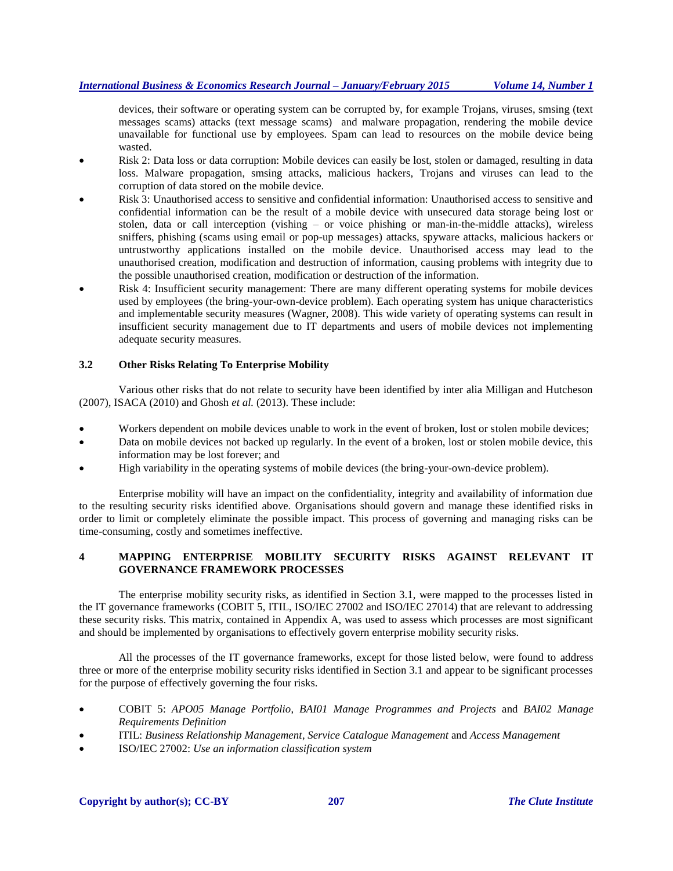devices, their software or operating system can be corrupted by, for example Trojans, viruses, smsing (text messages scams) attacks (text message scams) and malware propagation, rendering the mobile device unavailable for functional use by employees. Spam can lead to resources on the mobile device being wasted.

- Risk 2: Data loss or data corruption: Mobile devices can easily be lost, stolen or damaged, resulting in data loss. Malware propagation, smsing attacks, malicious hackers, Trojans and viruses can lead to the corruption of data stored on the mobile device.
- Risk 3: Unauthorised access to sensitive and confidential information: Unauthorised access to sensitive and confidential information can be the result of a mobile device with unsecured data storage being lost or stolen, data or call interception (vishing – or voice phishing or man-in-the-middle attacks), wireless sniffers, phishing (scams using email or pop-up messages) attacks, spyware attacks, malicious hackers or untrustworthy applications installed on the mobile device. Unauthorised access may lead to the unauthorised creation, modification and destruction of information, causing problems with integrity due to the possible unauthorised creation, modification or destruction of the information.
- Risk 4: Insufficient security management: There are many different operating systems for mobile devices used by employees (the bring-your-own-device problem). Each operating system has unique characteristics and implementable security measures (Wagner, 2008). This wide variety of operating systems can result in insufficient security management due to IT departments and users of mobile devices not implementing adequate security measures.

## **3.2 Other Risks Relating To Enterprise Mobility**

Various other risks that do not relate to security have been identified by inter alia Milligan and Hutcheson (2007), ISACA (2010) and Ghosh *et al.* (2013). These include:

- Workers dependent on mobile devices unable to work in the event of broken, lost or stolen mobile devices;
- Data on mobile devices not backed up regularly. In the event of a broken, lost or stolen mobile device, this information may be lost forever; and
- High variability in the operating systems of mobile devices (the bring-your-own-device problem).

Enterprise mobility will have an impact on the confidentiality, integrity and availability of information due to the resulting security risks identified above. Organisations should govern and manage these identified risks in order to limit or completely eliminate the possible impact. This process of governing and managing risks can be time-consuming, costly and sometimes ineffective.

## **4 MAPPING ENTERPRISE MOBILITY SECURITY RISKS AGAINST RELEVANT IT GOVERNANCE FRAMEWORK PROCESSES**

The enterprise mobility security risks, as identified in Section 3.1, were mapped to the processes listed in the IT governance frameworks (COBIT 5, ITIL, ISO/IEC 27002 and ISO/IEC 27014) that are relevant to addressing these security risks. This matrix, contained in Appendix A, was used to assess which processes are most significant and should be implemented by organisations to effectively govern enterprise mobility security risks.

All the processes of the IT governance frameworks, except for those listed below, were found to address three or more of the enterprise mobility security risks identified in Section 3.1 and appear to be significant processes for the purpose of effectively governing the four risks.

- COBIT 5: *APO05 Manage Portfolio*, *BAI01 Manage Programmes and Projects* and *BAI02 Manage Requirements Definition*
- ITIL: *Business Relationship Management*, *Service Catalogue Management* and *Access Management*
- ISO/IEC 27002: *Use an information classification system*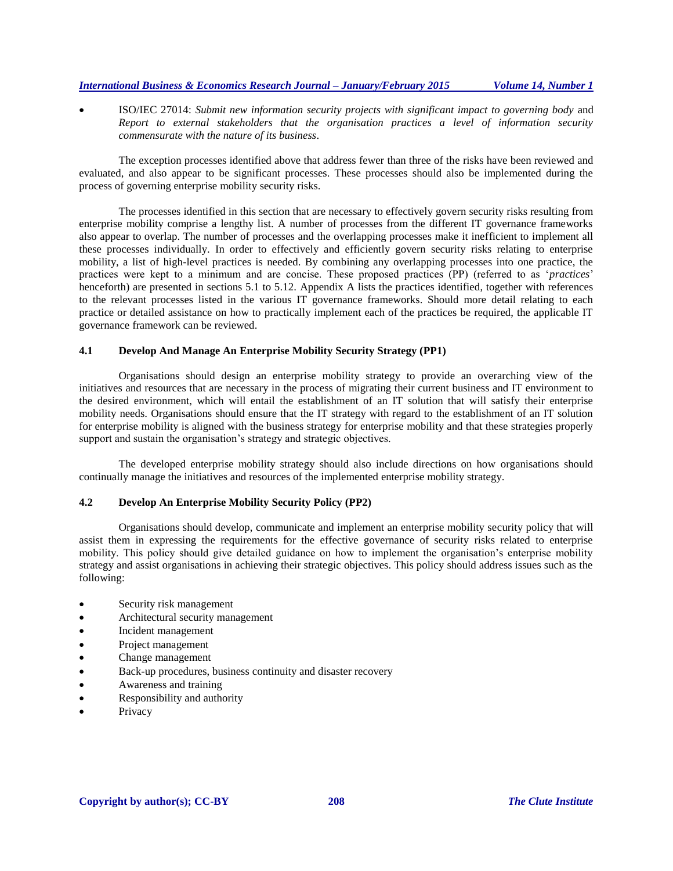ISO/IEC 27014: *Submit new information security projects with significant impact to governing body* and *Report to external stakeholders that the organisation practices a level of information security commensurate with the nature of its business*.

The exception processes identified above that address fewer than three of the risks have been reviewed and evaluated, and also appear to be significant processes. These processes should also be implemented during the process of governing enterprise mobility security risks.

The processes identified in this section that are necessary to effectively govern security risks resulting from enterprise mobility comprise a lengthy list. A number of processes from the different IT governance frameworks also appear to overlap. The number of processes and the overlapping processes make it inefficient to implement all these processes individually. In order to effectively and efficiently govern security risks relating to enterprise mobility, a list of high-level practices is needed. By combining any overlapping processes into one practice, the practices were kept to a minimum and are concise. These proposed practices (PP) (referred to as '*practices*' henceforth) are presented in sections 5.1 to 5.12. Appendix A lists the practices identified, together with references to the relevant processes listed in the various IT governance frameworks. Should more detail relating to each practice or detailed assistance on how to practically implement each of the practices be required, the applicable IT governance framework can be reviewed.

## **4.1 Develop And Manage An Enterprise Mobility Security Strategy (PP1)**

Organisations should design an enterprise mobility strategy to provide an overarching view of the initiatives and resources that are necessary in the process of migrating their current business and IT environment to the desired environment, which will entail the establishment of an IT solution that will satisfy their enterprise mobility needs. Organisations should ensure that the IT strategy with regard to the establishment of an IT solution for enterprise mobility is aligned with the business strategy for enterprise mobility and that these strategies properly support and sustain the organisation's strategy and strategic objectives.

The developed enterprise mobility strategy should also include directions on how organisations should continually manage the initiatives and resources of the implemented enterprise mobility strategy.

#### **4.2 Develop An Enterprise Mobility Security Policy (PP2)**

Organisations should develop, communicate and implement an enterprise mobility security policy that will assist them in expressing the requirements for the effective governance of security risks related to enterprise mobility. This policy should give detailed guidance on how to implement the organisation's enterprise mobility strategy and assist organisations in achieving their strategic objectives. This policy should address issues such as the following:

- Security risk management
- Architectural security management
- Incident management
- Project management
- Change management
- Back-up procedures, business continuity and disaster recovery
- Awareness and training
- Responsibility and authority
- Privacy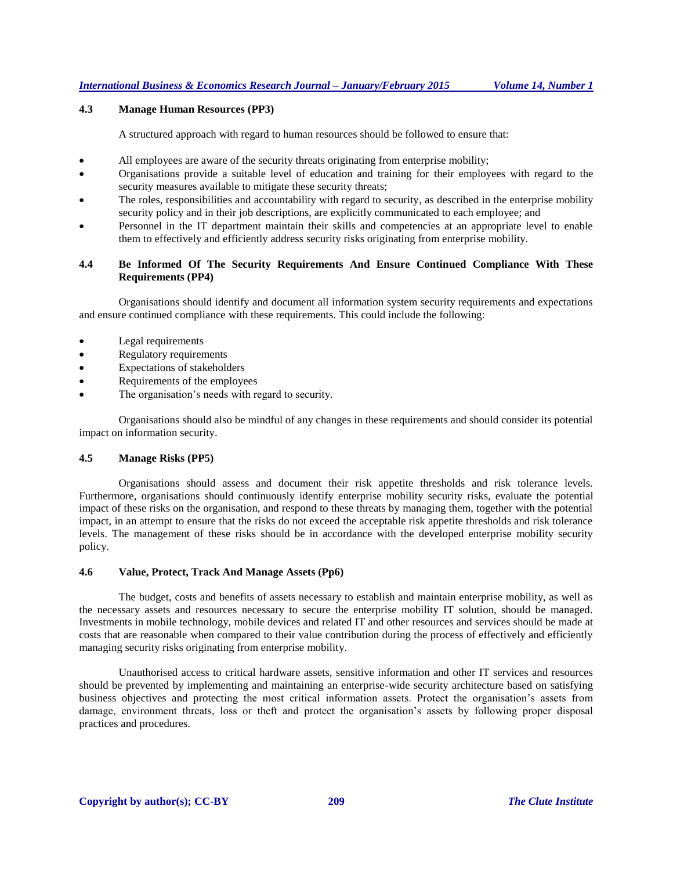## **4.3 Manage Human Resources (PP3)**

A structured approach with regard to human resources should be followed to ensure that:

- All employees are aware of the security threats originating from enterprise mobility;
- Organisations provide a suitable level of education and training for their employees with regard to the security measures available to mitigate these security threats;
- The roles, responsibilities and accountability with regard to security*,* as described in the enterprise mobility security policy and in their job descriptions, are explicitly communicated to each employee; and
- Personnel in the IT department maintain their skills and competencies at an appropriate level to enable them to effectively and efficiently address security risks originating from enterprise mobility.

#### **4.4 Be Informed Of The Security Requirements And Ensure Continued Compliance With These Requirements (PP4)**

Organisations should identify and document all information system security requirements and expectations and ensure continued compliance with these requirements. This could include the following:

- Legal requirements
- Regulatory requirements
- Expectations of stakeholders
- Requirements of the employees
- The organisation's needs with regard to security.

Organisations should also be mindful of any changes in these requirements and should consider its potential impact on information security.

#### **4.5 Manage Risks (PP5)**

Organisations should assess and document their risk appetite thresholds and risk tolerance levels. Furthermore, organisations should continuously identify enterprise mobility security risks, evaluate the potential impact of these risks on the organisation, and respond to these threats by managing them, together with the potential impact, in an attempt to ensure that the risks do not exceed the acceptable risk appetite thresholds and risk tolerance levels. The management of these risks should be in accordance with the developed enterprise mobility security policy.

#### **4.6 Value, Protect, Track And Manage Assets (Pp6)**

The budget, costs and benefits of assets necessary to establish and maintain enterprise mobility, as well as the necessary assets and resources necessary to secure the enterprise mobility IT solution, should be managed. Investments in mobile technology, mobile devices and related IT and other resources and services should be made at costs that are reasonable when compared to their value contribution during the process of effectively and efficiently managing security risks originating from enterprise mobility.

Unauthorised access to critical hardware assets, sensitive information and other IT services and resources should be prevented by implementing and maintaining an enterprise-wide security architecture based on satisfying business objectives and protecting the most critical information assets. Protect the organisation's assets from damage, environment threats, loss or theft and protect the organisation's assets by following proper disposal practices and procedures.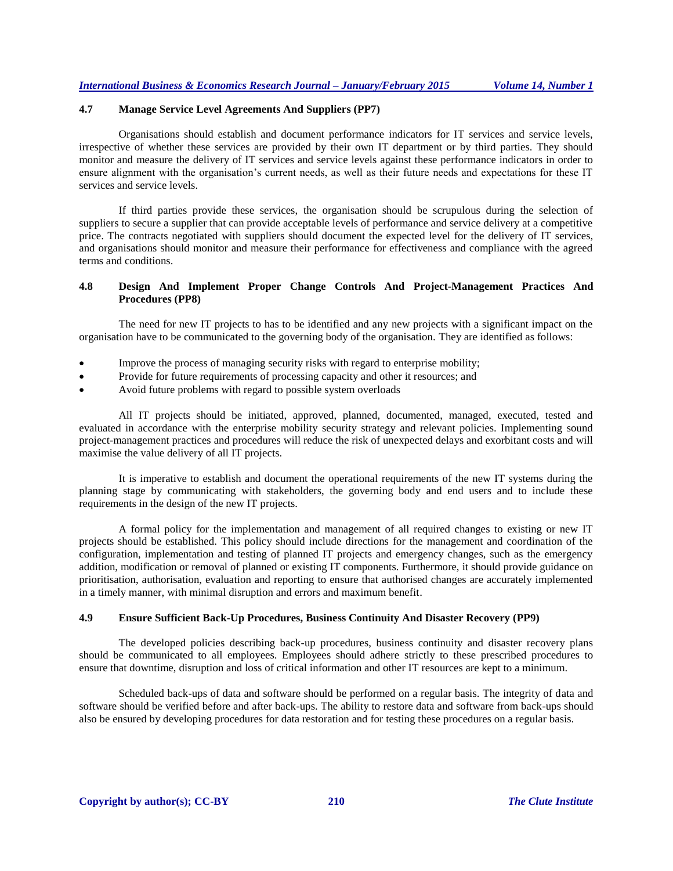## **4.7 Manage Service Level Agreements And Suppliers (PP7)**

Organisations should establish and document performance indicators for IT services and service levels, irrespective of whether these services are provided by their own IT department or by third parties. They should monitor and measure the delivery of IT services and service levels against these performance indicators in order to ensure alignment with the organisation's current needs, as well as their future needs and expectations for these IT services and service levels.

If third parties provide these services, the organisation should be scrupulous during the selection of suppliers to secure a supplier that can provide acceptable levels of performance and service delivery at a competitive price. The contracts negotiated with suppliers should document the expected level for the delivery of IT services, and organisations should monitor and measure their performance for effectiveness and compliance with the agreed terms and conditions.

## **4.8 Design And Implement Proper Change Controls And Project-Management Practices And Procedures (PP8)**

The need for new IT projects to has to be identified and any new projects with a significant impact on the organisation have to be communicated to the governing body of the organisation. They are identified as follows:

- Improve the process of managing security risks with regard to enterprise mobility;
- Provide for future requirements of processing capacity and other it resources; and
- Avoid future problems with regard to possible system overloads

All IT projects should be initiated, approved, planned, documented, managed, executed, tested and evaluated in accordance with the enterprise mobility security strategy and relevant policies. Implementing sound project-management practices and procedures will reduce the risk of unexpected delays and exorbitant costs and will maximise the value delivery of all IT projects.

It is imperative to establish and document the operational requirements of the new IT systems during the planning stage by communicating with stakeholders, the governing body and end users and to include these requirements in the design of the new IT projects.

A formal policy for the implementation and management of all required changes to existing or new IT projects should be established. This policy should include directions for the management and coordination of the configuration, implementation and testing of planned IT projects and emergency changes, such as the emergency addition, modification or removal of planned or existing IT components. Furthermore, it should provide guidance on prioritisation, authorisation, evaluation and reporting to ensure that authorised changes are accurately implemented in a timely manner, with minimal disruption and errors and maximum benefit.

#### **4.9 Ensure Sufficient Back-Up Procedures, Business Continuity And Disaster Recovery (PP9)**

The developed policies describing back-up procedures, business continuity and disaster recovery plans should be communicated to all employees. Employees should adhere strictly to these prescribed procedures to ensure that downtime, disruption and loss of critical information and other IT resources are kept to a minimum.

Scheduled back-ups of data and software should be performed on a regular basis. The integrity of data and software should be verified before and after back-ups. The ability to restore data and software from back-ups should also be ensured by developing procedures for data restoration and for testing these procedures on a regular basis.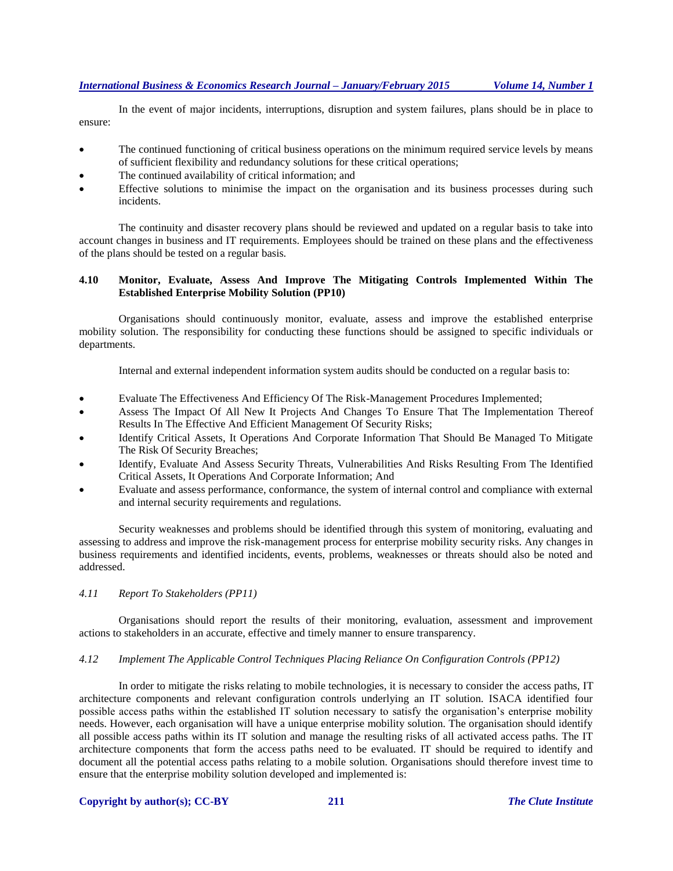In the event of major incidents, interruptions, disruption and system failures, plans should be in place to ensure:

- The continued functioning of critical business operations on the minimum required service levels by means of sufficient flexibility and redundancy solutions for these critical operations;
- The continued availability of critical information; and
- Effective solutions to minimise the impact on the organisation and its business processes during such incidents.

The continuity and disaster recovery plans should be reviewed and updated on a regular basis to take into account changes in business and IT requirements. Employees should be trained on these plans and the effectiveness of the plans should be tested on a regular basis.

## **4.10 Monitor, Evaluate, Assess And Improve The Mitigating Controls Implemented Within The Established Enterprise Mobility Solution (PP10)**

Organisations should continuously monitor, evaluate, assess and improve the established enterprise mobility solution. The responsibility for conducting these functions should be assigned to specific individuals or departments.

Internal and external independent information system audits should be conducted on a regular basis to:

- Evaluate The Effectiveness And Efficiency Of The Risk-Management Procedures Implemented;
- Assess The Impact Of All New It Projects And Changes To Ensure That The Implementation Thereof Results In The Effective And Efficient Management Of Security Risks;
- Identify Critical Assets, It Operations And Corporate Information That Should Be Managed To Mitigate The Risk Of Security Breaches;
- Identify, Evaluate And Assess Security Threats, Vulnerabilities And Risks Resulting From The Identified Critical Assets, It Operations And Corporate Information; And
- Evaluate and assess performance, conformance, the system of internal control and compliance with external and internal security requirements and regulations.

Security weaknesses and problems should be identified through this system of monitoring, evaluating and assessing to address and improve the risk-management process for enterprise mobility security risks. Any changes in business requirements and identified incidents, events, problems, weaknesses or threats should also be noted and addressed.

## *4.11 Report To Stakeholders (PP11)*

Organisations should report the results of their monitoring, evaluation, assessment and improvement actions to stakeholders in an accurate, effective and timely manner to ensure transparency.

#### *4.12 Implement The Applicable Control Techniques Placing Reliance On Configuration Controls (PP12)*

In order to mitigate the risks relating to mobile technologies, it is necessary to consider the access paths, IT architecture components and relevant configuration controls underlying an IT solution. ISACA identified four possible access paths within the established IT solution necessary to satisfy the organisation's enterprise mobility needs. However, each organisation will have a unique enterprise mobility solution. The organisation should identify all possible access paths within its IT solution and manage the resulting risks of all activated access paths. The IT architecture components that form the access paths need to be evaluated. IT should be required to identify and document all the potential access paths relating to a mobile solution. Organisations should therefore invest time to ensure that the enterprise mobility solution developed and implemented is:

#### **Copyright by author(s); CC-BY 211** *The Clute Institute*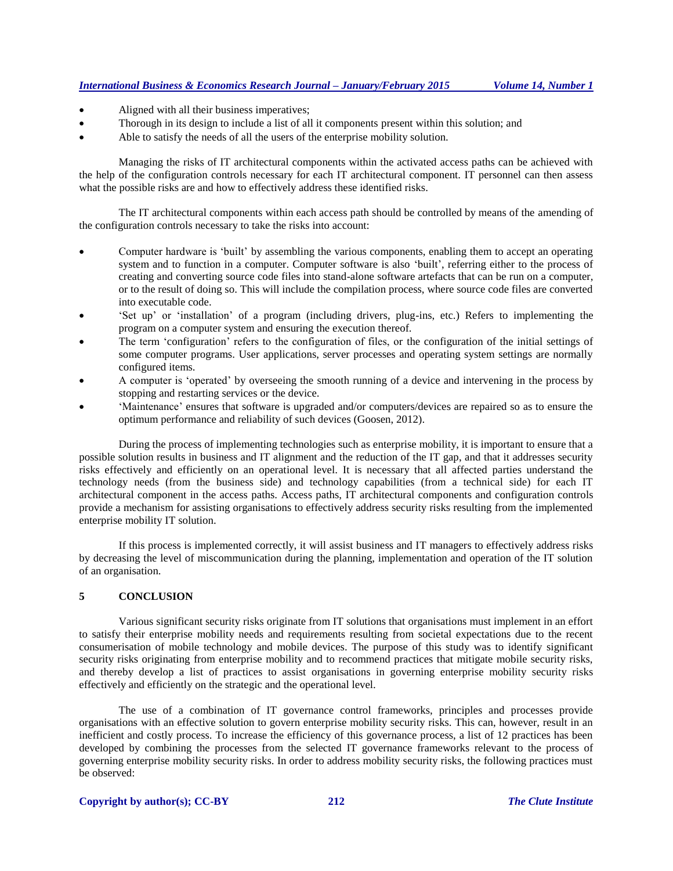- Aligned with all their business imperatives;
- Thorough in its design to include a list of all it components present within this solution; and
- Able to satisfy the needs of all the users of the enterprise mobility solution.

Managing the risks of IT architectural components within the activated access paths can be achieved with the help of the configuration controls necessary for each IT architectural component. IT personnel can then assess what the possible risks are and how to effectively address these identified risks.

The IT architectural components within each access path should be controlled by means of the amending of the configuration controls necessary to take the risks into account:

- Computer hardware is 'built' by assembling the various components, enabling them to accept an operating system and to function in a computer. Computer software is also 'built', referring either to the process of creating and converting source code files into stand-alone software artefacts that can be run on a computer, or to the result of doing so. This will include the compilation process, where source code files are converted into executable code.
- 'Set up' or 'installation' of a program (including drivers, plug-ins, etc.) Refers to implementing the program on a computer system and ensuring the execution thereof.
- The term 'configuration' refers to the configuration of files, or the configuration of the initial settings of some computer programs. User applications, server processes and operating system settings are normally configured items.
- A computer is 'operated' by overseeing the smooth running of a device and intervening in the process by stopping and restarting services or the device.
- 'Maintenance' ensures that software is upgraded and/or computers/devices are repaired so as to ensure the optimum performance and reliability of such devices (Goosen, 2012).

During the process of implementing technologies such as enterprise mobility, it is important to ensure that a possible solution results in business and IT alignment and the reduction of the IT gap, and that it addresses security risks effectively and efficiently on an operational level. It is necessary that all affected parties understand the technology needs (from the business side) and technology capabilities (from a technical side) for each IT architectural component in the access paths. Access paths, IT architectural components and configuration controls provide a mechanism for assisting organisations to effectively address security risks resulting from the implemented enterprise mobility IT solution.

If this process is implemented correctly, it will assist business and IT managers to effectively address risks by decreasing the level of miscommunication during the planning, implementation and operation of the IT solution of an organisation.

## **5 CONCLUSION**

Various significant security risks originate from IT solutions that organisations must implement in an effort to satisfy their enterprise mobility needs and requirements resulting from societal expectations due to the recent consumerisation of mobile technology and mobile devices. The purpose of this study was to identify significant security risks originating from enterprise mobility and to recommend practices that mitigate mobile security risks, and thereby develop a list of practices to assist organisations in governing enterprise mobility security risks effectively and efficiently on the strategic and the operational level.

The use of a combination of IT governance control frameworks, principles and processes provide organisations with an effective solution to govern enterprise mobility security risks. This can, however, result in an inefficient and costly process. To increase the efficiency of this governance process, a list of 12 practices has been developed by combining the processes from the selected IT governance frameworks relevant to the process of governing enterprise mobility security risks. In order to address mobility security risks, the following practices must be observed: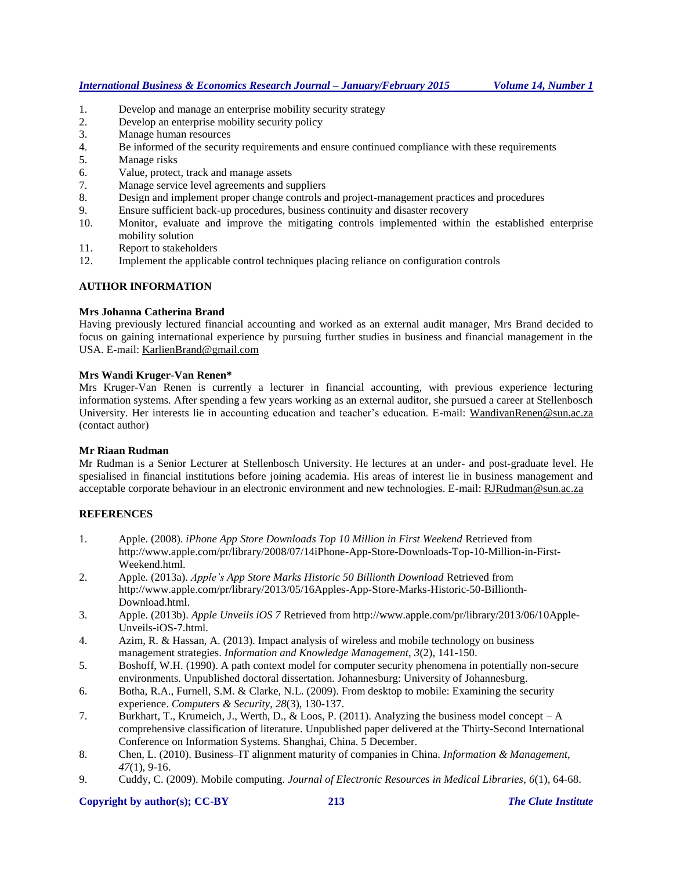- 1. Develop and manage an enterprise mobility security strategy
- 2. Develop an enterprise mobility security policy
- 3. Manage human resources
- 4. Be informed of the security requirements and ensure continued compliance with these requirements
- 5. Manage risks
- 6. Value, protect, track and manage assets
- 7. Manage service level agreements and suppliers
- 8. Design and implement proper change controls and project-management practices and procedures
- 9. Ensure sufficient back-up procedures, business continuity and disaster recovery
- 10. Monitor, evaluate and improve the mitigating controls implemented within the established enterprise mobility solution
- 11. Report to stakeholders
- 12. Implement the applicable control techniques placing reliance on configuration controls

## **AUTHOR INFORMATION**

## **Mrs Johanna Catherina Brand**

Having previously lectured financial accounting and worked as an external audit manager, Mrs Brand decided to focus on gaining international experience by pursuing further studies in business and financial management in the USA. E-mail: KarlienBrand@gmail.com

## **Mrs Wandi Kruger-Van Renen\***

Mrs Kruger-Van Renen is currently a lecturer in financial accounting, with previous experience lecturing information systems. After spending a few years working as an external auditor, she pursued a career at Stellenbosch University. Her interests lie in accounting education and teacher's education. E-mail: [WandivanRenen@sun.ac.za](mailto:WandivanRenen@sun.ac.za) (contact author)

#### **Mr Riaan Rudman**

Mr Rudman is a Senior Lecturer at Stellenbosch University. He lectures at an under- and post-graduate level. He spesialised in financial institutions before joining academia. His areas of interest lie in business management and acceptable corporate behaviour in an electronic environment and new technologies. E-mail[: RJRudman@sun.ac.za](mailto:RJRudman@sun.ac.za)

## **REFERENCES**

- 1. Apple. (2008). *iPhone App Store Downloads Top 10 Million in First Weekend* Retrieved from http://www.apple.com/pr/library/2008/07/14iPhone-App-Store-Downloads-Top-10-Million-in-First-Weekend.html.
- 2. Apple. (2013a). *Apple's App Store Marks Historic 50 Billionth Download* Retrieved from http://www.apple.com/pr/library/2013/05/16Apples-App-Store-Marks-Historic-50-Billionth-Download.html.
- 3. Apple. (2013b). *Apple Unveils iOS 7* Retrieved from http://www.apple.com/pr/library/2013/06/10Apple-Unveils-iOS-7.html.
- 4. Azim, R. & Hassan, A. (2013). Impact analysis of wireless and mobile technology on business management strategies. *Information and Knowledge Management, 3*(2), 141-150.
- 5. Boshoff, W.H. (1990). A path context model for computer security phenomena in potentially non-secure environments. Unpublished doctoral dissertation. Johannesburg: University of Johannesburg.
- 6. Botha, R.A., Furnell, S.M. & Clarke, N.L. (2009). From desktop to mobile: Examining the security experience. *Computers & Security*, *28*(3), 130-137.
- 7. Burkhart, T., Krumeich, J., Werth, D., & Loos, P. (2011). Analyzing the business model concept A comprehensive classification of literature. Unpublished paper delivered at the Thirty-Second International Conference on Information Systems. Shanghai, China. 5 December.
- 8. Chen, L. (2010). Business–IT alignment maturity of companies in China. *Information & Management, 47*(1), 9-16.
- 9. Cuddy, C. (2009). Mobile computing. *Journal of Electronic Resources in Medical Libraries*, *6*(1), 64-68.

#### **Copyright by author(s); CC-BY 213** *The Clute Institute*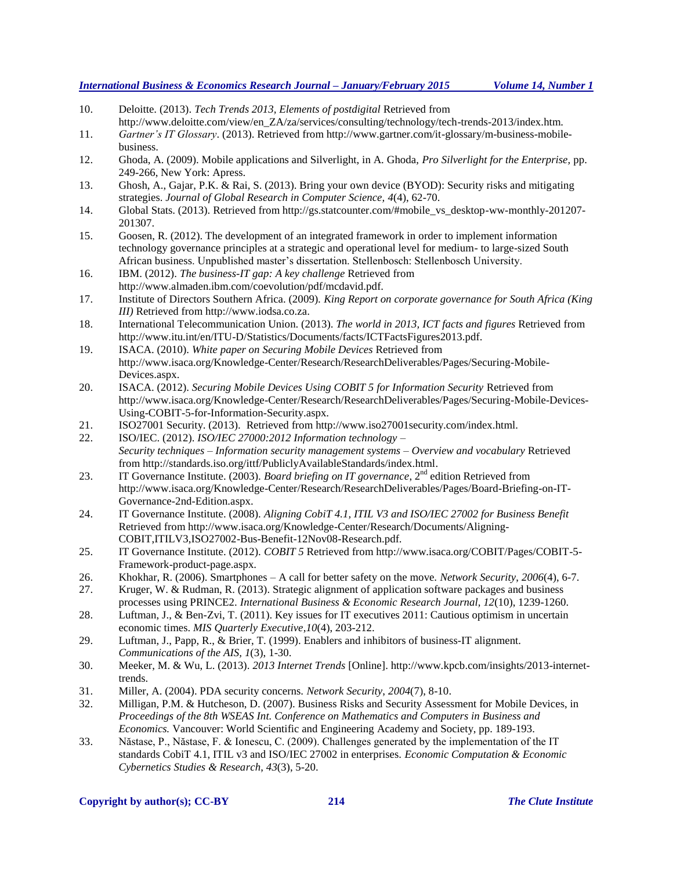- 10. Deloitte. (2013). *Tech Trends 2013, Elements of postdigital* Retrieved from http://www.deloitte.com/view/en\_ZA/za/services/consulting/technology/tech-trends-2013/index.htm.
- 11. *Gartner's IT Glossary*. (2013). Retrieved from http://www.gartner.com/it-glossary/m-business-mobilebusiness.
- 12. Ghoda, A. (2009). Mobile applications and Silverlight, in A. Ghoda, *Pro Silverlight for the Enterprise,* pp. 249-266, New York: Apress.
- 13. Ghosh, A., Gajar, P.K. & Rai, S. (2013). Bring your own device (BYOD): Security risks and mitigating strategies. *Journal of Global Research in Computer Science, 4*(4), 62-70.
- 14. Global Stats. (2013). Retrieved from http://gs.statcounter.com/#mobile\_vs\_desktop-ww-monthly-201207- 201307.
- 15. Goosen, R. (2012). The development of an integrated framework in order to implement information technology governance principles at a strategic and operational level for medium- to large-sized South African business. Unpublished master's dissertation. Stellenbosch: Stellenbosch University.
- 16. IBM. (2012). *The business-IT gap: A key challenge* Retrieved from http://www.almaden.ibm.com/coevolution/pdf/mcdavid.pdf.
- 17. Institute of Directors Southern Africa. (2009). *King Report on corporate governance for South Africa (King III)* Retrieved from http://www.iodsa.co.za.
- 18. International Telecommunication Union. (2013). *The world in 2013, ICT facts and figures* Retrieved from http://www.itu.int/en/ITU-D/Statistics/Documents/facts/ICTFactsFigures2013.pdf.
- 19. ISACA. (2010). *White paper on Securing Mobile Devices* Retrieved from http://www.isaca.org/Knowledge-Center/Research/ResearchDeliverables/Pages/Securing-Mobile-Devices.aspx.
- 20. ISACA. (2012). *Securing Mobile Devices Using COBIT 5 for Information Security* Retrieved from http://www.isaca.org/Knowledge-Center/Research/ResearchDeliverables/Pages/Securing-Mobile-Devices-Using-COBIT-5-for-Information-Security.aspx.
- 21. ISO27001 Security. (2013). Retrieved from http://www.iso27001security.com/index.html.
- 22. ISO/IEC. (2012). *ISO/IEC 27000:2012 Information technology – Security techniques – Information security management systems – Overview and vocabulary* Retrieved from http://standards.iso.org/ittf/PubliclyAvailableStandards/index.html.
- 23. IT Governance Institute. (2003). *Board briefing on IT governance*, 2<sup>nd</sup> edition Retrieved from http://www.isaca.org/Knowledge-Center/Research/ResearchDeliverables/Pages/Board-Briefing-on-IT-Governance-2nd-Edition.aspx.
- 24. IT Governance Institute. (2008). *Aligning CobiT 4.1, ITIL V3 and ISO/IEC 27002 for Business Benefit* Retrieved from http://www.isaca.org/Knowledge-Center/Research/Documents/Aligning-COBIT,ITILV3,ISO27002-Bus-Benefit-12Nov08-Research.pdf.
- 25. IT Governance Institute. (2012). *COBIT 5* Retrieved from http://www.isaca.org/COBIT/Pages/COBIT-5- Framework-product-page.aspx.
- 26. Khokhar, R. (2006). Smartphones A call for better safety on the move. *Network Security*, *2006*(4), 6-7.
- 27. Kruger, W. & Rudman, R. (2013). Strategic alignment of application software packages and business processes using PRINCE2. *International Business & Economic Research Journal, 12*(10), 1239-1260.
- 28. Luftman, J., & Ben-Zvi, T. (2011). Key issues for IT executives 2011: Cautious optimism in uncertain economic times. *MIS Quarterly Executive*,*10*(4), 203-212.
- 29. Luftman, J., Papp, R., & Brier, T. (1999). Enablers and inhibitors of business-IT alignment. *Communications of the AIS, 1*(3), 1-30.
- 30. Meeker, M. & Wu, L. (2013). *2013 Internet Trends* [Online]. http://www.kpcb.com/insights/2013-internettrends.
- 31. Miller, A. (2004). PDA security concerns. *Network Security*, *2004*(7), 8-10.
- 32. Milligan, P.M. & Hutcheson, D. (2007). Business Risks and Security Assessment for Mobile Devices, in *Proceedings of the 8th WSEAS Int. Conference on Mathematics and Computers in Business and Economics.* Vancouver: World Scientific and Engineering Academy and Society, pp. 189-193.
- 33. Năstase, P., Năstase, F. & Ionescu, C. (2009). Challenges generated by the implementation of the IT standards CobiT 4.1, ITIL v3 and ISO/IEC 27002 in enterprises. *Economic Computation & Economic Cybernetics Studies & Research*, *43*(3), 5-20.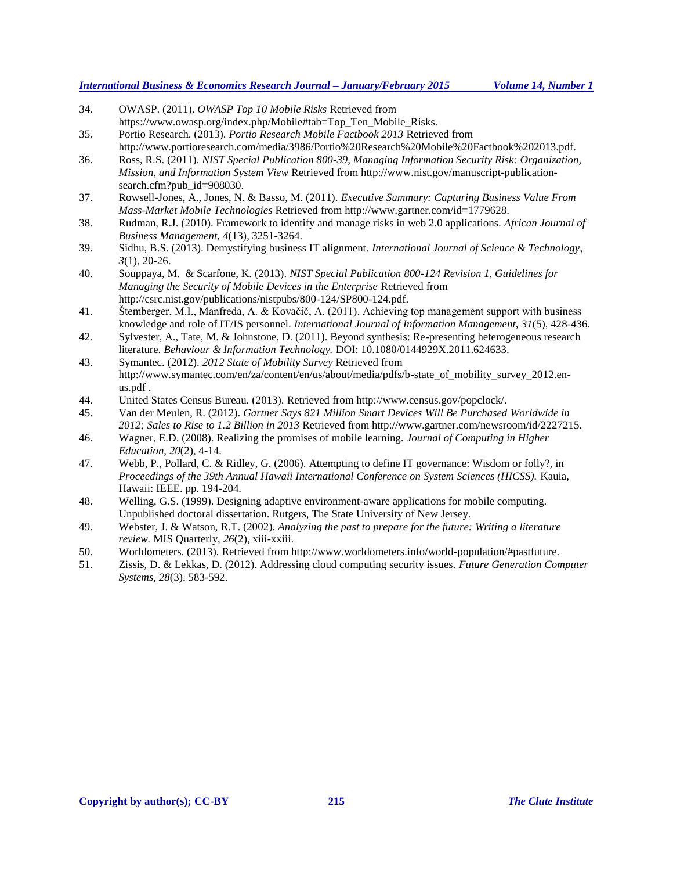| 34. | OWASP. (2011). OWASP Top 10 Mobile Risks Retrieved from                                                 |
|-----|---------------------------------------------------------------------------------------------------------|
|     | https://www.owasp.org/index.php/Mobile#tab=Top_Ten_Mobile_Risks.                                        |
| 35. | Portio Research. (2013). Portio Research Mobile Factbook 2013 Retrieved from                            |
|     | http://www.portioresearch.com/media/3986/Portio%20Research%20Mobile%20Factbook%202013.pdf.              |
| 36. | Ross, R.S. (2011). NIST Special Publication 800-39, Managing Information Security Risk: Organization,   |
|     | Mission, and Information System View Retrieved from http://www.nist.gov/manuscript-publication-         |
|     | search.cfm?pub_id=908030.                                                                               |
| 37. | Rowsell-Jones, A., Jones, N. & Basso, M. (2011). Executive Summary: Capturing Business Value From       |
|     | Mass-Market Mobile Technologies Retrieved from http://www.gartner.com/id=1779628.                       |
| 38. | Rudman, R.J. (2010). Framework to identify and manage risks in web 2.0 applications. African Journal of |
|     | Business Management, 4(13), 3251-3264.                                                                  |
| 39. | Sidhu, B.S. (2013). Demystifying business IT alignment. International Journal of Science & Technology,  |
|     | $3(1), 20-26.$                                                                                          |
| 40. | Souppaya, M. & Scarfone, K. (2013). NIST Special Publication 800-124 Revision 1, Guidelines for         |
|     | Managing the Security of Mobile Devices in the Enterprise Retrieved from                                |
|     | http://csrc.nist.gov/publications/nistpubs/800-124/SP800-124.pdf.                                       |
| 41. | Štemberger, M.I., Manfreda, A. & Kovačič, A. (2011). Achieving top management support with business     |
|     | knowledge and role of IT/IS personnel. International Journal of Information Management, 31(5), 428-436. |
| 42. | Sylvester, A., Tate, M. & Johnstone, D. (2011). Beyond synthesis: Re-presenting heterogeneous research  |
|     | literature. Behaviour & Information Technology. DOI: 10.1080/0144929X.2011.624633.                      |
| 43. | Symantec. (2012). 2012 State of Mobility Survey Retrieved from                                          |
|     | http://www.symantec.com/en/za/content/en/us/about/media/pdfs/b-state_of_mobility_survey_2012.en-        |
|     | us.pdf.                                                                                                 |
| 44. | United States Census Bureau. (2013). Retrieved from http://www.census.gov/popclock/.                    |
| 45. | Van der Meulen, R. (2012). Gartner Says 821 Million Smart Devices Will Be Purchased Worldwide in        |
|     | 2012; Sales to Rise to 1.2 Billion in 2013 Retrieved from http://www.gartner.com/newsroom/id/2227215.   |
| 46. | Wagner, E.D. (2008). Realizing the promises of mobile learning. Journal of Computing in Higher          |
|     | <i>Education, 20(2), 4-14.</i>                                                                          |

- 47. Webb, P., Pollard, C. & Ridley, G. (2006). Attempting to define IT governance: Wisdom or folly?, in *Proceedings of the 39th Annual Hawaii International Conference on System Sciences (HICSS).* Kauia, Hawaii: IEEE. pp. 194-204.
- 48. Welling, G.S. (1999). Designing adaptive environment-aware applications for mobile computing. Unpublished doctoral dissertation. Rutgers, The State University of New Jersey.
- 49. Webster, J. & Watson, R.T. (2002). *Analyzing the past to prepare for the future: Writing a literature review.* MIS Quarterly, *26*(2), xiii-xxiii.
- 50. Worldometers. (2013). Retrieved from http://www.worldometers.info/world-population/#pastfuture.
- 51. Zissis, D. & Lekkas, D. (2012). Addressing cloud computing security issues. *Future Generation Computer Systems*, *28*(3), 583-592.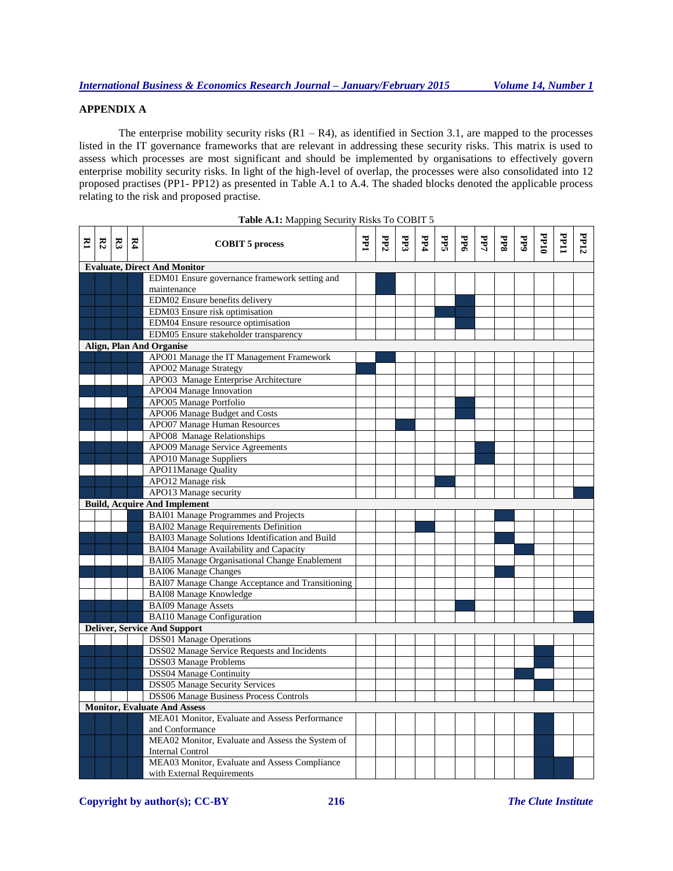# **APPENDIX A**

The enterprise mobility security risks  $(R1 - R4)$ , as identified in Section 3.1, are mapped to the processes listed in the IT governance frameworks that are relevant in addressing these security risks. This matrix is used to assess which processes are most significant and should be implemented by organisations to effectively govern enterprise mobility security risks. In light of the high-level of overlap, the processes were also consolidated into 12 proposed practises (PP1- PP12) as presented in Table A.1 to A.4. The shaded blocks denoted the applicable process relating to the risk and proposed practise.

|   | <b>Table A.I.</b> Mapping Security Kisks To CODIT 3 |       |              |                                                  |   |     |     |     |    |             |     |     |            |             |             |      |
|---|-----------------------------------------------------|-------|--------------|--------------------------------------------------|---|-----|-----|-----|----|-------------|-----|-----|------------|-------------|-------------|------|
| Σ | $\mathbb{R}^2$                                      | $E_3$ | $\mathbf{K}$ | <b>COBIT 5 process</b>                           | F | PP2 | PP3 | PP4 | Яă | $_{\rm bd}$ | PР7 | PP8 | <b>FP9</b> | <b>DLdd</b> | <b>PP11</b> | PP12 |
|   |                                                     |       |              | <b>Evaluate, Direct And Monitor</b>              |   |     |     |     |    |             |     |     |            |             |             |      |
|   |                                                     |       |              | EDM01 Ensure governance framework setting and    |   |     |     |     |    |             |     |     |            |             |             |      |
|   |                                                     |       |              | maintenance                                      |   |     |     |     |    |             |     |     |            |             |             |      |
|   |                                                     |       |              | EDM02 Ensure benefits delivery                   |   |     |     |     |    |             |     |     |            |             |             |      |
|   |                                                     |       |              | EDM03 Ensure risk optimisation                   |   |     |     |     |    |             |     |     |            |             |             |      |
|   |                                                     |       |              | EDM04 Ensure resource optimisation               |   |     |     |     |    |             |     |     |            |             |             |      |
|   |                                                     |       |              | EDM05 Ensure stakeholder transparency            |   |     |     |     |    |             |     |     |            |             |             |      |
|   |                                                     |       |              | <b>Align, Plan And Organise</b>                  |   |     |     |     |    |             |     |     |            |             |             |      |
|   |                                                     |       |              | APO01 Manage the IT Management Framework         |   |     |     |     |    |             |     |     |            |             |             |      |
|   |                                                     |       |              | APO02 Manage Strategy                            |   |     |     |     |    |             |     |     |            |             |             |      |
|   |                                                     |       |              | APO03 Manage Enterprise Architecture             |   |     |     |     |    |             |     |     |            |             |             |      |
|   |                                                     |       |              | APO04 Manage Innovation                          |   |     |     |     |    |             |     |     |            |             |             |      |
|   |                                                     |       |              | APO05 Manage Portfolio                           |   |     |     |     |    |             |     |     |            |             |             |      |
|   |                                                     |       |              | APO06 Manage Budget and Costs                    |   |     |     |     |    |             |     |     |            |             |             |      |
|   |                                                     |       |              | <b>APO07 Manage Human Resources</b>              |   |     |     |     |    |             |     |     |            |             |             |      |
|   |                                                     |       |              | APO08 Manage Relationships                       |   |     |     |     |    |             |     |     |            |             |             |      |
|   |                                                     |       |              | APO09 Manage Service Agreements                  |   |     |     |     |    |             |     |     |            |             |             |      |
|   |                                                     |       |              | <b>APO10 Manage Suppliers</b>                    |   |     |     |     |    |             |     |     |            |             |             |      |
|   |                                                     |       |              | <b>APO11Manage Quality</b>                       |   |     |     |     |    |             |     |     |            |             |             |      |
|   |                                                     |       |              | APO12 Manage risk                                |   |     |     |     |    |             |     |     |            |             |             |      |
|   |                                                     |       |              | APO13 Manage security                            |   |     |     |     |    |             |     |     |            |             |             |      |
|   |                                                     |       |              | <b>Build, Acquire And Implement</b>              |   |     |     |     |    |             |     |     |            |             |             |      |
|   |                                                     |       |              | <b>BAI01 Manage Programmes and Projects</b>      |   |     |     |     |    |             |     |     |            |             |             |      |
|   |                                                     |       |              | <b>BAI02 Manage Requirements Definition</b>      |   |     |     |     |    |             |     |     |            |             |             |      |
|   |                                                     |       |              | BAI03 Manage Solutions Identification and Build  |   |     |     |     |    |             |     |     |            |             |             |      |
|   |                                                     |       |              | BAI04 Manage Availability and Capacity           |   |     |     |     |    |             |     |     |            |             |             |      |
|   |                                                     |       |              | BAI05 Manage Organisational Change Enablement    |   |     |     |     |    |             |     |     |            |             |             |      |
|   |                                                     |       |              | <b>BAI06 Manage Changes</b>                      |   |     |     |     |    |             |     |     |            |             |             |      |
|   |                                                     |       |              | BAI07 Manage Change Acceptance and Transitioning |   |     |     |     |    |             |     |     |            |             |             |      |
|   |                                                     |       |              | <b>BAI08 Manage Knowledge</b>                    |   |     |     |     |    |             |     |     |            |             |             |      |
|   |                                                     |       |              | <b>BAI09 Manage Assets</b>                       |   |     |     |     |    |             |     |     |            |             |             |      |
|   |                                                     |       |              | <b>BAI10</b> Manage Configuration                |   |     |     |     |    |             |     |     |            |             |             |      |
|   |                                                     |       |              | <b>Deliver, Service And Support</b>              |   |     |     |     |    |             |     |     |            |             |             |      |
|   |                                                     |       |              | <b>DSS01</b> Manage Operations                   |   |     |     |     |    |             |     |     |            |             |             |      |
|   |                                                     |       |              | DSS02 Manage Service Requests and Incidents      |   |     |     |     |    |             |     |     |            |             |             |      |
|   |                                                     |       |              | DSS03 Manage Problems                            |   |     |     |     |    |             |     |     |            |             |             |      |
|   |                                                     |       |              | <b>DSS04 Manage Continuity</b>                   |   |     |     |     |    |             |     |     |            |             |             |      |
|   |                                                     |       |              | <b>DSS05 Manage Security Services</b>            |   |     |     |     |    |             |     |     |            |             |             |      |
|   |                                                     |       |              | <b>DSS06 Manage Business Process Controls</b>    |   |     |     |     |    |             |     |     |            |             |             |      |
|   |                                                     |       |              | <b>Monitor, Evaluate And Assess</b>              |   |     |     |     |    |             |     |     |            |             |             |      |
|   |                                                     |       |              | MEA01 Monitor, Evaluate and Assess Performance   |   |     |     |     |    |             |     |     |            |             |             |      |
|   |                                                     |       |              | and Conformance                                  |   |     |     |     |    |             |     |     |            |             |             |      |
|   |                                                     |       |              | MEA02 Monitor, Evaluate and Assess the System of |   |     |     |     |    |             |     |     |            |             |             |      |
|   |                                                     |       |              | <b>Internal Control</b>                          |   |     |     |     |    |             |     |     |            |             |             |      |
|   |                                                     |       |              | MEA03 Monitor, Evaluate and Assess Compliance    |   |     |     |     |    |             |     |     |            |             |             |      |
|   |                                                     |       |              | with External Requirements                       |   |     |     |     |    |             |     |     |            |             |             |      |

Table A.1: Mapping Security Risks To COBIT 5

**Copyright by author(s); CC-BY 216** *The Clute Institute*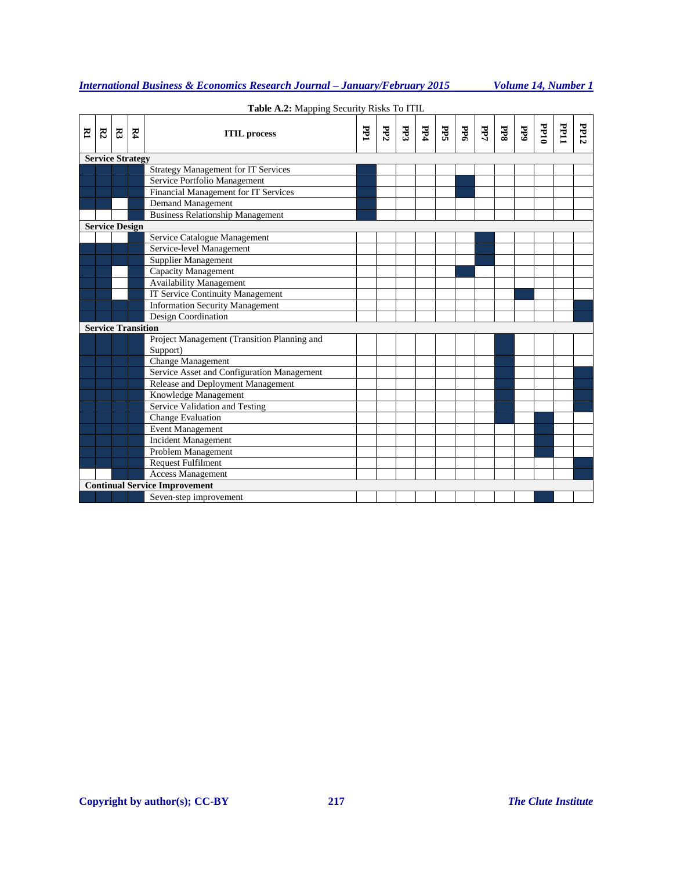|   | Table A.2: Mapping Security Risks To ITIL |                |                           |                                             |     |     |     |  |                            |     |     |     |     |             |      |      |
|---|-------------------------------------------|----------------|---------------------------|---------------------------------------------|-----|-----|-----|--|----------------------------|-----|-----|-----|-----|-------------|------|------|
| Σ | K                                         | $\mathbb{R}^3$ | $\mathbf{K}$              | <b>ITIL</b> process                         | PP1 | PP2 | PP3 |  | $\left \frac{E}{E}\right $ | PP6 | PP7 | PP8 | PP9 | <b>DP10</b> | PP11 | PP12 |
|   |                                           |                | <b>Service Strategy</b>   |                                             |     |     |     |  |                            |     |     |     |     |             |      |      |
|   |                                           |                |                           | <b>Strategy Management for IT Services</b>  |     |     |     |  |                            |     |     |     |     |             |      |      |
|   |                                           |                |                           | Service Portfolio Management                |     |     |     |  |                            |     |     |     |     |             |      |      |
|   |                                           |                |                           | Financial Management for IT Services        |     |     |     |  |                            |     |     |     |     |             |      |      |
|   |                                           |                |                           | <b>Demand Management</b>                    |     |     |     |  |                            |     |     |     |     |             |      |      |
|   |                                           |                |                           | <b>Business Relationship Management</b>     |     |     |     |  |                            |     |     |     |     |             |      |      |
|   | <b>Service Design</b>                     |                |                           |                                             |     |     |     |  |                            |     |     |     |     |             |      |      |
|   |                                           |                |                           | Service Catalogue Management                |     |     |     |  |                            |     |     |     |     |             |      |      |
|   |                                           |                |                           | Service-level Management                    |     |     |     |  |                            |     |     |     |     |             |      |      |
|   |                                           |                |                           | Supplier Management                         |     |     |     |  |                            |     |     |     |     |             |      |      |
|   |                                           |                |                           | Capacity Management                         |     |     |     |  |                            |     |     |     |     |             |      |      |
|   |                                           |                |                           | <b>Availability Management</b>              |     |     |     |  |                            |     |     |     |     |             |      |      |
|   |                                           |                |                           | <b>IT Service Continuity Management</b>     |     |     |     |  |                            |     |     |     |     |             |      |      |
|   |                                           |                |                           | <b>Information Security Management</b>      |     |     |     |  |                            |     |     |     |     |             |      |      |
|   |                                           |                |                           | Design Coordination                         |     |     |     |  |                            |     |     |     |     |             |      |      |
|   |                                           |                | <b>Service Transition</b> |                                             |     |     |     |  |                            |     |     |     |     |             |      |      |
|   |                                           |                |                           | Project Management (Transition Planning and |     |     |     |  |                            |     |     |     |     |             |      |      |
|   |                                           |                |                           | Support)                                    |     |     |     |  |                            |     |     |     |     |             |      |      |
|   |                                           |                |                           | <b>Change Management</b>                    |     |     |     |  |                            |     |     |     |     |             |      |      |
|   |                                           |                |                           | Service Asset and Configuration Management  |     |     |     |  |                            |     |     |     |     |             |      |      |
|   |                                           |                |                           | Release and Deployment Management           |     |     |     |  |                            |     |     |     |     |             |      |      |
|   |                                           |                |                           | Knowledge Management                        |     |     |     |  |                            |     |     |     |     |             |      |      |
|   |                                           |                |                           | Service Validation and Testing              |     |     |     |  |                            |     |     |     |     |             |      |      |
|   |                                           |                |                           | Change Evaluation                           |     |     |     |  |                            |     |     |     |     |             |      |      |
|   |                                           |                |                           | <b>Event Management</b>                     |     |     |     |  |                            |     |     |     |     |             |      |      |
|   |                                           |                |                           | <b>Incident Management</b>                  |     |     |     |  |                            |     |     |     |     |             |      |      |
|   |                                           |                |                           | Problem Management                          |     |     |     |  |                            |     |     |     |     |             |      |      |
|   |                                           |                |                           | <b>Request Fulfilment</b>                   |     |     |     |  |                            |     |     |     |     |             |      |      |
|   |                                           |                |                           | Access Management                           |     |     |     |  |                            |     |     |     |     |             |      |      |
|   |                                           |                |                           | <b>Continual Service Improvement</b>        |     |     |     |  |                            |     |     |     |     |             |      |      |
|   |                                           |                |                           | Seven-step improvement                      |     |     |     |  |                            |     |     |     |     |             |      |      |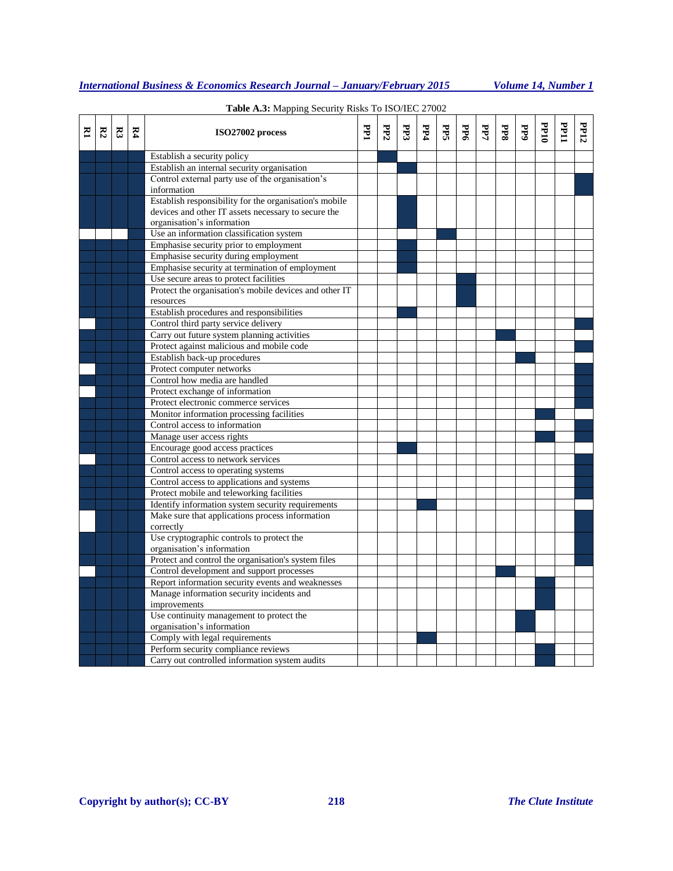| <b>International Business &amp; Economics Research Journal – January/February 2015</b> | Volume 14. Number 1 |
|----------------------------------------------------------------------------------------|---------------------|
|                                                                                        |                     |

| Σ | $E_2$ | $\mathbb{R}^3$ | $\mathbb{R}^4$ | ISO27002 process                                                                               | FPI | PP2 | <b>PP3</b> | PP4 | PPS | PP6 | PP7 | <b>PP8</b> | PP9 | <b>DLdd</b> | FP11 | PP12 |
|---|-------|----------------|----------------|------------------------------------------------------------------------------------------------|-----|-----|------------|-----|-----|-----|-----|------------|-----|-------------|------|------|
|   |       |                |                | Establish a security policy                                                                    |     |     |            |     |     |     |     |            |     |             |      |      |
|   |       |                |                | Establish an internal security organisation                                                    |     |     |            |     |     |     |     |            |     |             |      |      |
|   |       |                |                | Control external party use of the organisation's                                               |     |     |            |     |     |     |     |            |     |             |      |      |
|   |       |                |                | information                                                                                    |     |     |            |     |     |     |     |            |     |             |      |      |
|   |       |                |                | Establish responsibility for the organisation's mobile                                         |     |     |            |     |     |     |     |            |     |             |      |      |
|   |       |                |                | devices and other IT assets necessary to secure the                                            |     |     |            |     |     |     |     |            |     |             |      |      |
|   |       |                |                | organisation's information                                                                     |     |     |            |     |     |     |     |            |     |             |      |      |
|   |       |                |                | Use an information classification system                                                       |     |     |            |     |     |     |     |            |     |             |      |      |
|   |       |                |                | Emphasise security prior to employment                                                         |     |     |            |     |     |     |     |            |     |             |      |      |
|   |       |                |                | Emphasise security during employment                                                           |     |     |            |     |     |     |     |            |     |             |      |      |
|   |       |                |                | Emphasise security at termination of employment                                                |     |     |            |     |     |     |     |            |     |             |      |      |
|   |       |                |                | Use secure areas to protect facilities                                                         |     |     |            |     |     |     |     |            |     |             |      |      |
|   |       |                |                | Protect the organisation's mobile devices and other IT                                         |     |     |            |     |     |     |     |            |     |             |      |      |
|   |       |                |                | resources                                                                                      |     |     |            |     |     |     |     |            |     |             |      |      |
|   |       |                |                | Establish procedures and responsibilities                                                      |     |     |            |     |     |     |     |            |     |             |      |      |
|   |       |                |                | Control third party service delivery                                                           |     |     |            |     |     |     |     |            |     |             |      |      |
|   |       |                |                | Carry out future system planning activities                                                    |     |     |            |     |     |     |     |            |     |             |      |      |
|   |       |                |                | Protect against malicious and mobile code                                                      |     |     |            |     |     |     |     |            |     |             |      |      |
|   |       |                |                | Establish back-up procedures                                                                   |     |     |            |     |     |     |     |            |     |             |      |      |
|   |       |                |                | Protect computer networks                                                                      |     |     |            |     |     |     |     |            |     |             |      |      |
|   |       |                |                | Control how media are handled                                                                  |     |     |            |     |     |     |     |            |     |             |      |      |
|   |       |                |                | Protect exchange of information                                                                |     |     |            |     |     |     |     |            |     |             |      |      |
|   |       |                |                | Protect electronic commerce services                                                           |     |     |            |     |     |     |     |            |     |             |      |      |
|   |       |                |                | Monitor information processing facilities                                                      |     |     |            |     |     |     |     |            |     |             |      |      |
|   |       |                |                | Control access to information                                                                  |     |     |            |     |     |     |     |            |     |             |      |      |
|   |       |                |                | Manage user access rights                                                                      |     |     |            |     |     |     |     |            |     |             |      |      |
|   |       |                |                | Encourage good access practices                                                                |     |     |            |     |     |     |     |            |     |             |      |      |
|   |       |                |                | Control access to network services                                                             |     |     |            |     |     |     |     |            |     |             |      |      |
|   |       |                |                | Control access to operating systems                                                            |     |     |            |     |     |     |     |            |     |             |      |      |
|   |       |                |                | Control access to applications and systems                                                     |     |     |            |     |     |     |     |            |     |             |      |      |
|   |       |                |                | Protect mobile and teleworking facilities                                                      |     |     |            |     |     |     |     |            |     |             |      |      |
|   |       |                |                | Identify information system security requirements                                              |     |     |            |     |     |     |     |            |     |             |      |      |
|   |       |                |                | Make sure that applications process information<br>correctly                                   |     |     |            |     |     |     |     |            |     |             |      |      |
|   |       |                |                | Use cryptographic controls to protect the                                                      |     |     |            |     |     |     |     |            |     |             |      |      |
|   |       |                |                | organisation's information<br>Protect and control the organisation's system files              |     |     |            |     |     |     |     |            |     |             |      |      |
|   |       |                |                |                                                                                                |     |     |            |     |     |     |     |            |     |             |      |      |
|   |       |                |                | Control development and support processes<br>Report information security events and weaknesses |     |     |            |     |     |     |     |            |     |             |      |      |
|   |       |                |                | Manage information security incidents and                                                      |     |     |            |     |     |     |     |            |     |             |      |      |
|   |       |                |                | improvements                                                                                   |     |     |            |     |     |     |     |            |     |             |      |      |
|   |       |                |                | Use continuity management to protect the                                                       |     |     |            |     |     |     |     |            |     |             |      |      |
|   |       |                |                | organisation's information                                                                     |     |     |            |     |     |     |     |            |     |             |      |      |
|   |       |                |                | Comply with legal requirements                                                                 |     |     |            |     |     |     |     |            |     |             |      |      |
|   |       |                |                | Perform security compliance reviews                                                            |     |     |            |     |     |     |     |            |     |             |      |      |
|   |       |                |                | Carry out controlled information system audits                                                 |     |     |            |     |     |     |     |            |     |             |      |      |

# **Table A.3:** Mapping Security Risks To ISO/IEC 27002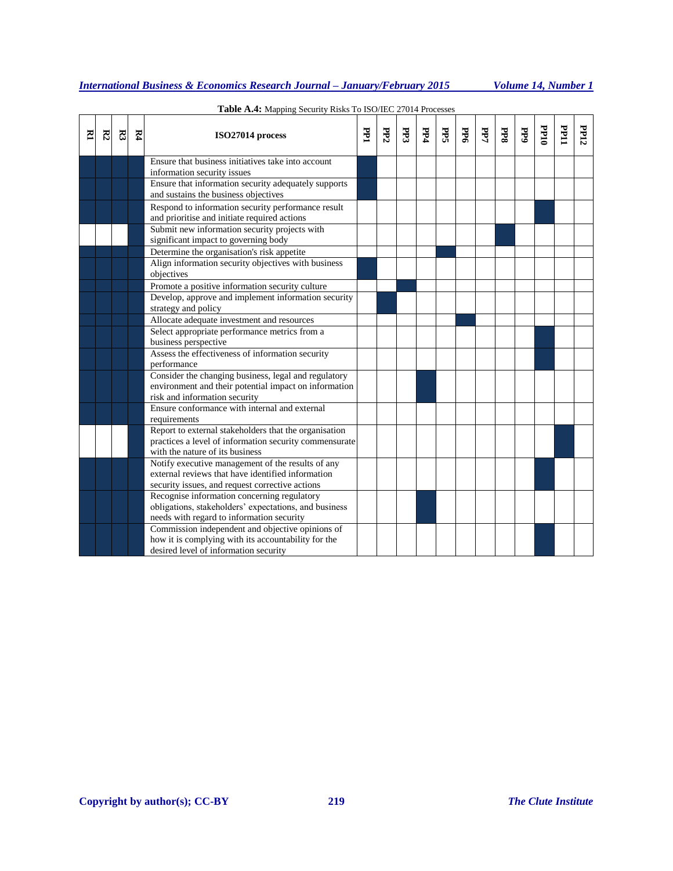| <b>International Business &amp; Economics Research Journal – January/February 2015</b> | Volume 14. Number 1 |
|----------------------------------------------------------------------------------------|---------------------|
|                                                                                        |                     |

| E | R2 | R3 | R4 | ISO27014 process                                                                                                                                   | FРI | PP2 | PP3 | PP4 | Яś | PP6 | PP7 | PP8 | $\overline{AB}$ | $\frac{1}{2}$ | <b>PP11</b> | PP12 |
|---|----|----|----|----------------------------------------------------------------------------------------------------------------------------------------------------|-----|-----|-----|-----|----|-----|-----|-----|-----------------|---------------|-------------|------|
|   |    |    |    | Ensure that business initiatives take into account<br>information security issues                                                                  |     |     |     |     |    |     |     |     |                 |               |             |      |
|   |    |    |    | Ensure that information security adequately supports<br>and sustains the business objectives                                                       |     |     |     |     |    |     |     |     |                 |               |             |      |
|   |    |    |    | Respond to information security performance result<br>and prioritise and initiate required actions                                                 |     |     |     |     |    |     |     |     |                 |               |             |      |
|   |    |    |    | Submit new information security projects with<br>significant impact to governing body                                                              |     |     |     |     |    |     |     |     |                 |               |             |      |
|   |    |    |    | Determine the organisation's risk appetite                                                                                                         |     |     |     |     |    |     |     |     |                 |               |             |      |
|   |    |    |    | Align information security objectives with business<br>objectives                                                                                  |     |     |     |     |    |     |     |     |                 |               |             |      |
|   |    |    |    | Promote a positive information security culture                                                                                                    |     |     |     |     |    |     |     |     |                 |               |             |      |
|   |    |    |    | Develop, approve and implement information security<br>strategy and policy                                                                         |     |     |     |     |    |     |     |     |                 |               |             |      |
|   |    |    |    | Allocate adequate investment and resources                                                                                                         |     |     |     |     |    |     |     |     |                 |               |             |      |
|   |    |    |    | Select appropriate performance metrics from a<br>business perspective                                                                              |     |     |     |     |    |     |     |     |                 |               |             |      |
|   |    |    |    | Assess the effectiveness of information security<br>performance                                                                                    |     |     |     |     |    |     |     |     |                 |               |             |      |
|   |    |    |    | Consider the changing business, legal and regulatory<br>environment and their potential impact on information<br>risk and information security     |     |     |     |     |    |     |     |     |                 |               |             |      |
|   |    |    |    | Ensure conformance with internal and external<br>requirements                                                                                      |     |     |     |     |    |     |     |     |                 |               |             |      |
|   |    |    |    | Report to external stakeholders that the organisation<br>practices a level of information security commensurate<br>with the nature of its business |     |     |     |     |    |     |     |     |                 |               |             |      |
|   |    |    |    | Notify executive management of the results of any                                                                                                  |     |     |     |     |    |     |     |     |                 |               |             |      |
|   |    |    |    | external reviews that have identified information                                                                                                  |     |     |     |     |    |     |     |     |                 |               |             |      |
|   |    |    |    | security issues, and request corrective actions                                                                                                    |     |     |     |     |    |     |     |     |                 |               |             |      |
|   |    |    |    | Recognise information concerning regulatory<br>obligations, stakeholders' expectations, and business                                               |     |     |     |     |    |     |     |     |                 |               |             |      |
|   |    |    |    | needs with regard to information security                                                                                                          |     |     |     |     |    |     |     |     |                 |               |             |      |
|   |    |    |    | Commission independent and objective opinions of<br>how it is complying with its accountability for the                                            |     |     |     |     |    |     |     |     |                 |               |             |      |
|   |    |    |    | desired level of information security                                                                                                              |     |     |     |     |    |     |     |     |                 |               |             |      |

## **Table A.4:** Mapping Security Risks To ISO/IEC 27014 Processes